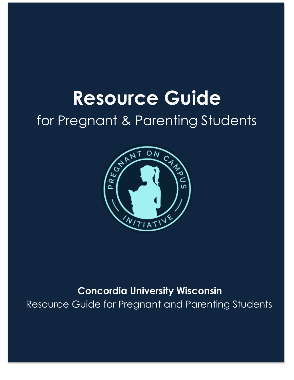# **Resource Guide** for Pregnant & Parenting Students



# **Concordia University Wisconsin** Resource Guide for Pregnant and Parenting Students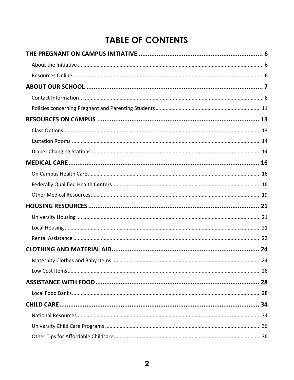# **TABLE OF CONTENTS**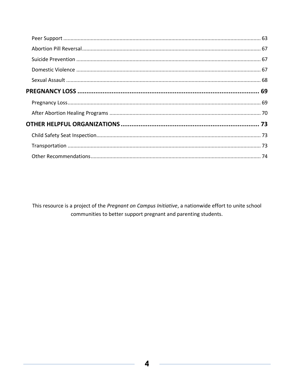This resource is a project of the Pregnant on Campus Initiative, a nationwide effort to unite school communities to better support pregnant and parenting students.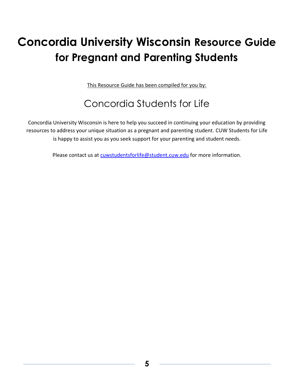# **Concordia University Wisconsin Resource Guide for Pregnant and Parenting Students**

This Resource Guide has been compiled for you by:

# Concordia Students for Life

Concordia University Wisconsin is here to help you succeed in continuing your education by providing resources to address your unique situation as a pregnant and parenting student. CUW Students for Life is happy to assist you as you seek support for your parenting and student needs.

Please contact us at [cuwstudentsforlife@student.cuw.edu](mailto:cuwstudentsforlife@student.cuw.edu) for more information.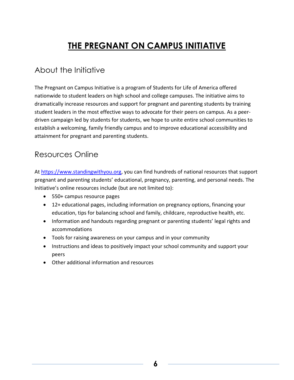# **THE PREGNANT ON CAMPUS INITIATIVE**

### <span id="page-5-1"></span><span id="page-5-0"></span>About the Initiative

The Pregnant on Campus Initiative is a program of Students for Life of America offered nationwide to student leaders on high school and college campuses. The initiative aims to dramatically increase resources and support for pregnant and parenting students by training student leaders in the most effective ways to advocate for their peers on campus. As a peerdriven campaign led by students for students, we hope to unite entire school communities to establish a welcoming, family friendly campus and to improve educational accessibility and attainment for pregnant and parenting students.

### <span id="page-5-2"></span>Resources Online

A[t https://www.standingwithyou.org,](https://www.standingwithyou.org/) you can find hundreds of national resources that support pregnant and parenting students' educational, pregnancy, parenting, and personal needs. The Initiative's online resources include (but are not limited to):

- 550+ campus resource pages
- 12+ educational pages, including information on pregnancy options, financing your education, tips for balancing school and family, childcare, reproductive health, etc.
- Information and handouts regarding pregnant or parenting students' legal rights and accommodations
- Tools for raising awareness on your campus and in your community
- Instructions and ideas to positively impact your school community and support your peers
- Other additional information and resources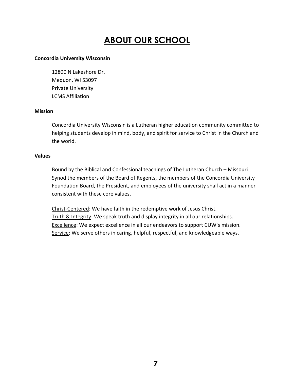# **ABOUT OUR SCHOOL**

#### <span id="page-6-0"></span>**Concordia University Wisconsin**

12800 N Lakeshore Dr. Mequon, WI 53097 Private University LCMS Affiliation

#### **Mission**

Concordia University Wisconsin is a Lutheran higher education community committed to helping students develop in mind, body, and spirit for service to Christ in the Church and the world.

#### **Values**

Bound by the Biblical and Confessional teachings of The Lutheran Church – Missouri Synod the members of the Board of Regents, the members of the Concordia University Foundation Board, the President, and employees of the university shall act in a manner consistent with these core values.

Christ-Centered: We have faith in the redemptive work of Jesus Christ. Truth & Integrity: We speak truth and display integrity in all our relationships. Excellence: We expect excellence in all our endeavors to support CUW's mission. Service: We serve others in caring, helpful, respectful, and knowledgeable ways.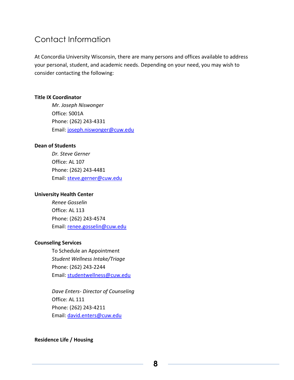### <span id="page-7-0"></span>Contact Information

At Concordia University Wisconsin, there are many persons and offices available to address your personal, student, and academic needs. Depending on your need, you may wish to consider contacting the following:

#### **Title IX Coordinator**

*Mr. Joseph Niswonger* Office: S001A Phone: (262) 243-4331 Email: [joseph.niswonger@cuw.edu](mailto:joseph.niswonger@cuw.edu)

#### **Dean of Students**

*Dr. Steve Gerner* Office: AL 107 Phone: (262) 243-4481 Email: [steve.gerner@cuw.edu](mailto:steve.gerner@cuw.edu)

#### **University Health Center**

*Renee Gosselin* Office: AL 113 Phone: (262) 243-4574 Email: [renee.gosselin@cuw.edu](mailto:renee.gosselin@cuw.edu)

#### **Counseling Services**

To Schedule an Appointment *Student Wellness Intake/Triage* Phone: (262) 243-2244 Email: [studentwellness@cuw.edu](mailto:studentwellness@cuw.edu)

*Dave Enters- Director of Counseling*  Office: AL 111 Phone: (262) 243-4211 Email: [david.enters@cuw.edu](mailto:david.enters@cuw.edu)

#### **Residence Life / Housing**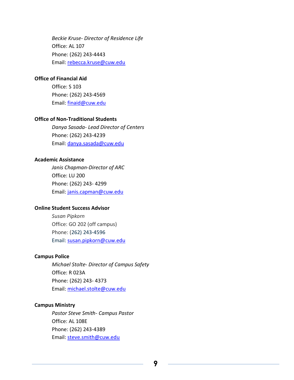*Beckie Kruse- Director of Residence Life* Office: AL 107 Phone: (262) 243-4443 Email: [rebecca.kruse@cuw.edu](mailto:rebecca.kruse@cuw.edu)

#### **Office of Financial Aid**

Office: S 103 Phone: (262) 243-4569 Email: [finaid@cuw.edu](mailto:finaid@cuw.edu)

#### **Office of Non-Traditional Students**

*Danya Sasada- Lead Director of Centers* Phone: (262) 243-4239 Email: [danya.sasada@cuw.edu](mailto:danya.sasada@cuw.edu)

#### **Academic Assistance**

*Janis Chapman-Director of ARC* Office: LU 200 Phone: (262) 243- 4299 Email: [janis.capman@cuw.edu](mailto:janis.capman@cuw.edu)

#### **Online Student Success Advisor**

*Susan Pipkorn* Office: GO 202 (off campus) Phone: [\(262\) 243-4596](tel:12622434596) Email: [susan.pipkorn@cuw.edu](mailto:susan.pipkorn@cuw.edu)

#### **Campus Police**

*Michael Stolte- Director of Campus Safety*  Office: R 023A Phone: (262) 243- 4373 Email: [michael.stolte@cuw.edu](mailto:mario.valdes@cuw.edu)

#### **Campus Ministry**

*Pastor Steve Smith- Campus Pastor* Office: AL 108E Phone: (262) 243-4389 Email: [steve.smith@cuw.edu](mailto:steve.smith@cuw.edu)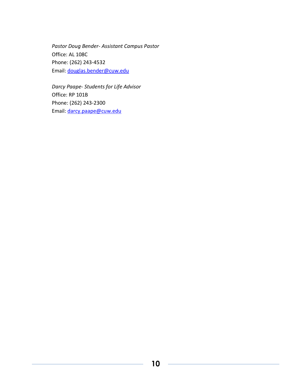*Pastor Doug Bender- Assistant Campus Pastor* Office: AL 108C Phone: (262) 243-4532 Email: [douglas.bender@cuw.edu](mailto:douglas.bender@cuw.edu)

*Darcy Paape- Students for Life Advisor*  Office: RP 101B Phone: (262) 243-2300 Email: [darcy.paape@cuw.edu](mailto:darcy.paape@cuw.edu)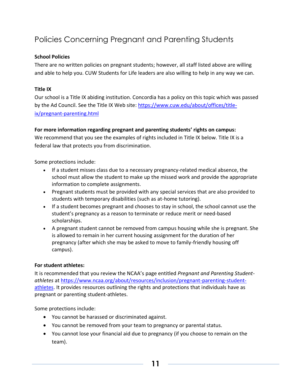### <span id="page-10-0"></span>Policies Concerning Pregnant and Parenting Students

#### **School Policies**

There are no written policies on pregnant students; however, all staff listed above are willing and able to help you. CUW Students for Life leaders are also willing to help in any way we can.

#### **Title IX**

Our school is a Title IX abiding institution. Concordia has a policy on this topic which was passed by the Ad Council. See the Title IX Web site: [https://www.cuw.edu/about/offices/title](https://www.cuw.edu/about/offices/title-ix/pregnant-parenting.html)[ix/pregnant-parenting.html](https://www.cuw.edu/about/offices/title-ix/pregnant-parenting.html)

#### **For more information regarding pregnant and parenting students' rights on campus:**

We recommend that you see the examples of rights included in Title IX below. Title IX is a federal law that protects you from discrimination.

Some protections include:

- If a student misses class due to a necessary pregnancy-related medical absence, the school must allow the student to make up the missed work and provide the appropriate information to complete assignments.
- Pregnant students must be provided with any special services that are also provided to students with temporary disabilities (such as at-home tutoring).
- If a student becomes pregnant and chooses to stay in school, the school cannot use the student's pregnancy as a reason to terminate or reduce merit or need-based scholarships.
- A pregnant student cannot be removed from campus housing while she is pregnant. She is allowed to remain in her current housing assignment for the duration of her pregnancy (after which she may be asked to move to family-friendly housing off campus).

#### **For student athletes:**

It is recommended that you review the NCAA's page entitled *Pregnant and Parenting Studentathletes* a[t https://www.ncaa.org/about/resources/inclusion/pregnant-parenting-student](https://www.ncaa.org/about/resources/inclusion/pregnant-parenting-student-athletes)[athletes.](https://www.ncaa.org/about/resources/inclusion/pregnant-parenting-student-athletes) It provides resources outlining the rights and protections that individuals have as pregnant or parenting student-athletes.

Some protections include:

- You cannot be harassed or discriminated against.
- You cannot be removed from your team to pregnancy or parental status.
- You cannot lose your financial aid due to pregnancy (if you choose to remain on the team).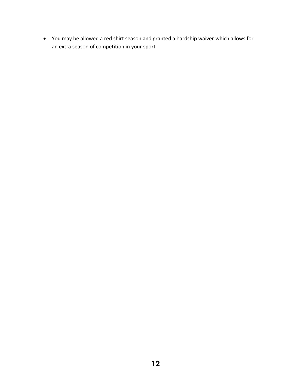• You may be allowed a red shirt season and granted a hardship waiver which allows for an extra season of competition in your sport.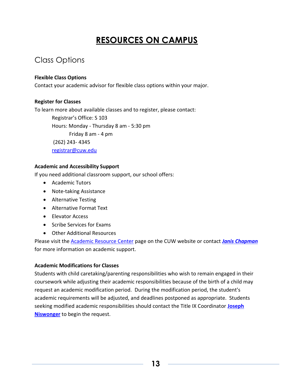# **RESOURCES ON CAMPUS**

### <span id="page-12-1"></span><span id="page-12-0"></span>Class Options

#### **Flexible Class Options**

Contact your academic advisor for flexible class options within your major.

#### **Register for Classes**

To learn more about available classes and to register, please contact:

Registrar's Office: S 103 Hours: Monday - Thursday 8 am - 5:30 pm Friday 8 am - 4 pm

(262) 243- 4345

[registrar@cuw.edu](mailto:registrar@cuw.edu)

#### **Academic and Accessibility Support**

If you need additional classroom support, our school offers:

- Academic Tutors
- Note-taking Assistance
- Alternative Testing
- Alternative Format Text
- Elevator Access
- Scribe Services for Exams
- Other Additional Resources

Please visit the [Academic Resource Center](https://www.cuw.edu/academics/services/student-academic-resources/academic-resource-center/accessibility-services/index.html) page on the CUW website or contact *[Janis Chapman](mailto:janis.chapman@cuw.edu)* for more information on academic support.

#### **Academic Modifications for Classes**

Students with child caretaking/parenting responsibilities who wish to remain engaged in their coursework while adjusting their academic responsibilities because of the birth of a child may request an academic modification period. During the modification period, the student's academic requirements will be adjusted, and deadlines postponed as appropriate. Students seeking modified academic responsibilities should contact the Title IX Coordinator **[Joseph](mailto:joseph.niswonger@cuw.edu)  [Niswonger](mailto:joseph.niswonger@cuw.edu)** to begin the request.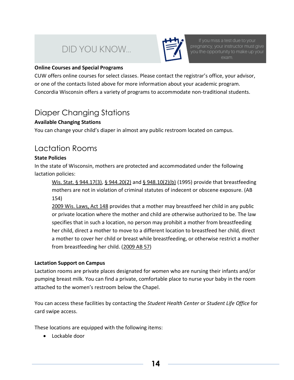# DID YOU KNOW...



If you miss a test due to your pregnancy, your instructor must give you the opportunity to make up your exam.

#### **Online Courses and Special Programs**

CUW offers online courses for select classes. Please contact the registrar's office, your advisor, or one of the contacts listed above for more information about your academic program. Concordia Wisconsin offers a variety of programs to accommodate non-traditional students.

### <span id="page-13-0"></span>Diaper Changing Stations

#### **Available Changing Stations**

You can change your child's diaper in almost any public restroom located on campus.

### Lactation Rooms

#### **State Policies**

In the state of Wisconsin, mothers are protected and accommodated under the following lactation policies:

[Wis. Stat. § 944.17\(3\),](http://nxt.legis.state.wi.us/nxt/gateway.dll?f=templates&fn=default.htm&d=stats&jd=944.17) [§ 944.20\(2\)](http://nxt.legis.state.wi.us/nxt/gateway.dll?f=templates&fn=default.htm&d=stats&jd=944.20) and [§ 948.10\(2\)\(b\)](http://nxt.legis.state.wi.us/nxt/gateway.dll?f=templates&fn=default.htm&d=stats&jd=948.10) (1995) provide that breastfeeding mothers are not in violation of criminal statutes of indecent or obscene exposure. (AB 154)

[2009 Wis. Laws, Act 148](http://www.legis.state.wi.us/2009/data/acts/09Act148.pdf) provides that a mother may breastfeed her child in any public or private location where the mother and child are otherwise authorized to be. The law specifies that in such a location, no person may prohibit a mother from breastfeeding her child, direct a mother to move to a different location to breastfeed her child, direct a mother to cover her child or breast while breastfeeding, or otherwise restrict a mother from breastfeeding her child. [\(2009 AB 57\)](http://www.legis.state.wi.us/2009/data/AB-57.pdf)

#### **Lactation Support on Campus**

Lactation rooms are private places designated for women who are nursing their infants and/or pumping breast milk. You can find a private, comfortable place to nurse your baby in the room attached to the women's restroom below the Chapel.

You can access these facilities by contacting the *Student Health Center* or *Student Life Office* for card swipe access.

These locations are equipped with the following items:

• Lockable door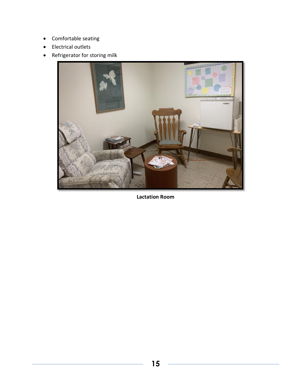- Comfortable seating
- Electrical outlets
- Refrigerator for storing milk



**Lactation Room**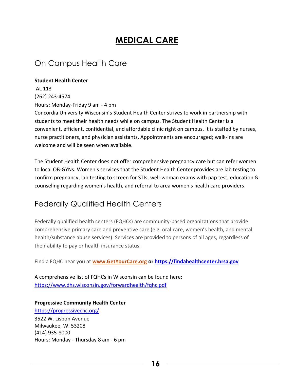## **MEDICAL CARE**

### <span id="page-15-1"></span><span id="page-15-0"></span>On Campus Health Care

#### **Student Health Center**

AL 113 (262) 243-4574 Hours: Monday-Friday 9 am - 4 pm Concordia University Wisconsin's Student Health Center strives to work in partnership with

students to meet their health needs while on campus. The Student Health Center is a convenient, efficient, confidential, and affordable clinic right on campus. It is staffed by nurses, nurse practitioners, and physician assistants. Appointments are encouraged; walk-ins are welcome and will be seen when available.

The Student Health Center does not offer comprehensive pregnancy care but can refer women to local OB-GYNs. Women's services that the Student Health Center provides are lab testing to confirm pregnancy, lab testing to screen for STIs, well-woman exams with pap test, education & counseling regarding women's health, and referral to area women's health care providers.

### <span id="page-15-2"></span>Federally Qualified Health Centers

Federally qualified health centers (FQHCs) are community-based organizations that provide comprehensive primary care and preventive care (e.g. oral care, women's health, and mental health/substance abuse services). Services are provided to persons of all ages, regardless of their ability to pay or health insurance status.

Find a FQHC near you at **[www.GetYourCare.org](http://www.getyourcare.org/) or [https://findahealthcenter.hrsa.gov](https://findahealthcenter.hrsa.gov/)**

A comprehensive list of FQHCs in Wisconsin can be found here: <https://www.dhs.wisconsin.gov/forwardhealth/fqhc.pdf>

**Progressive Community Health Center**  <https://progressivechc.org/> 3522 W. Lisbon Avenue Milwaukee, WI 53208 (414) 935-8000 Hours: Monday - Thursday 8 am - 6 pm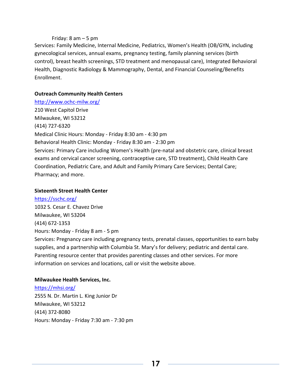#### Friday: 8 am – 5 pm

Services: Family Medicine, Internal Medicine, Pediatrics, Women's Health (OB/GYN, including gynecological services, annual exams, pregnancy testing, family planning services (birth control), breast health screenings, STD treatment and menopausal care), Integrated Behavioral Health, Diagnostic Radiology & Mammography, Dental, and Financial Counseling/Benefits Enrollment.

#### **Outreach Community Health Centers**

<http://www.ochc-milw.org/> 210 West Capitol Drive Milwaukee, WI 53212 (414) 727-6320 Medical Clinic Hours: Monday - Friday 8:30 am - 4:30 pm Behavioral Health Clinic: Monday - Friday 8:30 am - 2:30 pm Services: Primary Care including Women's Health (pre-natal and obstetric care, clinical breast exams and cervical cancer screening, contraceptive care, STD treatment), Child Health Care Coordination, Pediatric Care, and Adult and Family Primary Care Services; Dental Care; Pharmacy; and more.

#### **Sixteenth Street Health Center**

<https://sschc.org/> 1032 S. Cesar E. Chavez Drive Milwaukee, WI 53204 (414) 672-1353 Hours: Monday - Friday 8 am - 5 pm Services: Pregnancy care including pregnancy tests, prenatal classes, opportunities to earn baby supplies, and a partnership with Columbia St. Mary's for delivery; pediatric and dental care. Parenting resource center that provides parenting classes and other services. For more information on services and locations, call or visit the website above.

#### **Milwaukee Health Services, Inc.**

<https://mhsi.org/> 2555 N. Dr. Martin L. King Junior Dr Milwaukee, WI 53212 (414) 372-8080 Hours: Monday - Friday 7:30 am - 7:30 pm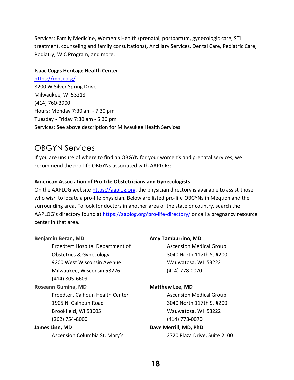Services: Family Medicine, Women's Health (prenatal, postpartum, gynecologic care, STI treatment, counseling and family consultations), Ancillary Services, Dental Care, Pediatric Care, Podiatry, WIC Program, and more.

#### **Isaac Coggs Heritage Health Center**

<https://mhsi.org/> 8200 W Silver Spring Drive Milwaukee, WI 53218 (414) 760-3900 Hours: Monday 7:30 am - 7:30 pm Tuesday - Friday 7:30 am - 5:30 pm Services: See above description for Milwaukee Health Services.

### OBGYN Services

If you are unsure of where to find an OBGYN for your women's and prenatal services, we recommend the pro-life OBGYNs associated with AAPLOG:

#### **American Association of Pro-Life Obstetricians and Gynecologist[s](file:///C:/Users/bomor_000/AppData/Local/Microsoft/Windows/INetCache/Content.Outlook/M8BGF6UW/www.aaplog.org)**

On the AAPLOG website [https://aaplog.org,](https://aaplog.org/) the physician directory is available to assist those who wish to locate a pro-life physician. Below are listed pro-life OBGYNs in Mequon and the surrounding area. To look for doctors in another area of the state or country, search the AAPLOG's directory found at <https://aaplog.org/pro-life-directory/> or call a pregnancy resource center in that area.

#### **Benjamin Beran, MD**

Froedtert Hospital Department of Obstetrics & Gynecology 9200 West Wisconsin Avenue Milwaukee, Wisconsin 53226 (414) 805-6609 **Roseann Gumina, MD** Froedtert Calhoun Health Center 1905 N. Calhoun Road Brookfield, WI 53005 (262) 754-8000

#### **James Linn, MD**

Ascension Columbia St. Mary's

#### **Amy Tamburrino, MD**

Ascension Medical Group 3040 North 117th St #200 Wauwatosa, WI 53222 (414) 778-0070

#### **Matthew Lee, MD**

Ascension Medical Group 3040 North 117th St #200 Wauwatosa, WI 53222 (414) 778-0070

#### **Dave Merrill, MD, PhD**

2720 Plaza Drive, Suite 2100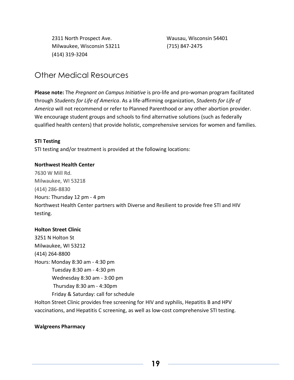2311 North Prospect Ave. Milwaukee, Wisconsin 53211 (414) 319-3204

 Wausau, Wisconsin 54401 (715) 847-2475

### <span id="page-18-0"></span>Other Medical Resources

**Please note:** The *Pregnant on Campus Initiative* is pro-life and pro-woman program facilitated through *Students for Life of America*. As a life-affirming organization, *Students for Life of America* will not recommend or refer to Planned Parenthood or any other abortion provider. We encourage student groups and schools to find alternative solutions (such as federally qualified health centers) that provide holistic, comprehensive services for women and families.

#### **STI Testing**

STI testing and/or treatment is provided at the following locations:

#### **Northwest Health Center**

7630 W Mill Rd. Milwaukee, WI 53218 (414) 286-8830 Hours: Thursday 12 pm - 4 pm Northwest Health Center partners with Diverse and Resilient to provide free STI and HIV testing.

#### **Holton Street Clinic**

3251 N Holton St Milwaukee, WI 53212 (414) 264-8800 Hours: Monday 8:30 am - 4:30 pm Tuesday 8:30 am - 4:30 pm Wednesday 8:30 am - 3:00 pm Thursday 8:30 am - 4:30pm Friday & Saturday: call for schedule Holton Street Clinic provides free screening for HIV and syphilis, Hepatitis B and HPV

vaccinations, and Hepatitis C screening, as well as low-cost comprehensive STI testing.

#### **Walgreens Pharmacy**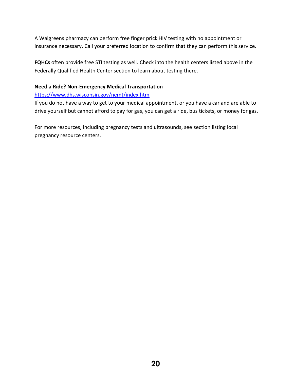A Walgreens pharmacy can perform free finger prick HIV testing with no appointment or insurance necessary. Call your preferred location to confirm that they can perform this service.

**FQHCs** often provide free STI testing as well. Check into the health centers listed above in the Federally Qualified Health Center section to learn about testing there.

#### **Need a Ride? Non-Emergency Medical Transportation**

#### <https://www.dhs.wisconsin.gov/nemt/index.htm>

If you do not have a way to get to your medical appointment, or you have a car and are able to drive yourself but cannot afford to pay for gas, you can get a ride, bus tickets, or money for gas.

For more resources, including pregnancy tests and ultrasounds, see section listing local pregnancy resource centers.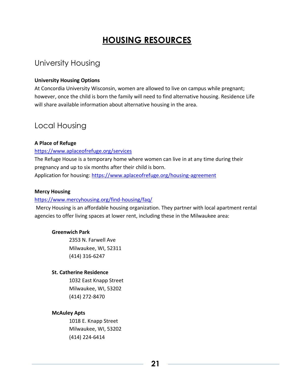# **HOUSING RESOURCES**

### <span id="page-20-1"></span><span id="page-20-0"></span>University Housing

#### **University Housing Options**

At Concordia University Wisconsin, women are allowed to live on campus while pregnant; however, once the child is born the family will need to find alternative housing. Residence Life will share available information about alternative housing in the area.

### <span id="page-20-2"></span>Local Housing

#### **A Place of Refuge**

#### <https://www.aplaceofrefuge.org/services>

The Refuge House is a temporary home where women can live in at any time during their pregnancy and up to six months after their child is born. Application for housing:<https://www.aplaceofrefuge.org/housing-agreement>

#### **Mercy Housing**

#### <https://www.mercyhousing.org/find-housing/faq/>

Mercy Housing is an affordable housing organization. They partner with local apartment rental agencies to offer living spaces at lower rent, including these in the Milwaukee area:

#### **Greenwich Park**

2353 N. Farwell Ave Milwaukee, WI, 52311 (414) 316-6247

#### **St. Catherine Residence**

1032 East Knapp Street Milwaukee, WI, 53202 (414) 272-8470

#### **McAuley Apts**

1018 E. Knapp Street Milwaukee, WI, 53202 (414) 224-6414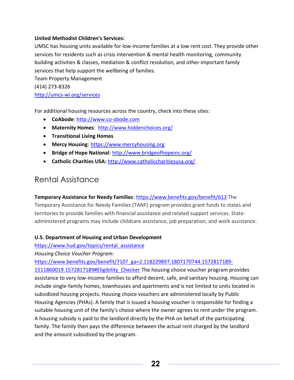#### **United Methodist Children's Services:**

UMSC has housing units available for low-income families at a low rent cost. They provide other services for residents such as crisis intervention & mental health monitoring, community building activities & classes, mediation & conflict resolution, and other important family services that help support the wellbeing of families.

Team Property Management (414) 273-8326 <http://umcs-wi.org/services>

For additional housing resources across the country, check into these sites:

- **CoAbode**: [http://www.co-abode.com](http://www.co-abode.com/)
- **Maternity Homes**: <http://www.hiddenchoices.org/>
- **Transitional Living Homes**
- **Mercy Housing**[: https://www.mercyhousing.org](https://www.mercyhousing.org/)
- **Bridge of Hope National**[: http://www.bridgeofhopeinc.org/](http://www.bridgeofhopeinc.org/)
- **Catholic Charities USA:** <http://www.catholiccharitiesusa.org/>

### <span id="page-21-0"></span>Rental Assistance

**Temporary Assistance for Needy Families**:<https://www.benefits.gov/benefit/613> The

Temporary Assistance for Needy Families (TANF) program provides grant funds to states and territories to provide families with financial assistance and related support services. Stateadministered programs may include childcare assistance, job preparation, and work assistance.

#### **U.S. Department of Housing and Urban Development**

[https://www.hud.gov/topics/rental\\_assistance](https://www.hud.gov/topics/rental_assistance)

*Housing Choice Voucher Program:* 

[https://www.benefits.gov/benefit/710?\\_ga=2.118229897.1807170744.1572817189-](https://www.benefits.gov/benefit/710?_ga=2.118229897.1807170744.1572817189-1511860019.1572817189#Eligibility_Checker)

[1511860019.1572817189#Eligibility\\_Checker](https://www.benefits.gov/benefit/710?_ga=2.118229897.1807170744.1572817189-1511860019.1572817189#Eligibility_Checker) The housing choice voucher program provides assistance to very low-income families to afford decent, safe, and sanitary housing. Housing can include single-family homes, townhouses and apartments and is not limited to units located in subsidized housing projects. Housing choice vouchers are administered locally by Public Housing Agencies (PHAs). A family that is issued a housing voucher is responsible for finding a suitable housing unit of the family's choice where the owner agrees to rent under the program. A housing subsidy is paid to the landlord directly by the PHA on behalf of the participating family. The family then pays the difference between the actual rent charged by the landlord and the amount subsidized by the program.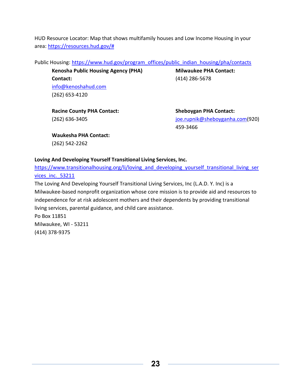HUD Resource Locator: Map that shows multifamily houses and Low Income Housing in your area: [https://resources.hud.gov/#](https://resources.hud.gov/)

Public Housing: [https://www.hud.gov/program\\_offices/public\\_indian\\_housing/pha/contacts](https://www.hud.gov/program_offices/public_indian_housing/pha/contacts)

**Kenosha Public Housing Agency (PHA) Contact:**  [info@kenoshahud.com](mailto:info@kenoshahud.com) (262) 653-4120

**Milwaukee PHA Contact:** (414) 286-5678

**Racine County PHA Contact:** (262) 636-3405

**Sheboygan PHA Contact:** [joe.rupnik@sheboyganha.com\(](mailto:joe.rupnik@sheboyganha.com)920) 459-3466

**Waukesha PHA Contact:**

(262) 542-2262

#### **Loving And Developing Yourself Transitional Living Services, Inc.**

https://www.transitionalhousing.org/li/loving and developing yourself transitional living ser [vices\\_inc.\\_53211](https://www.transitionalhousing.org/li/loving_and_developing_yourself_transitional_living_services_inc._53211)

The Loving And Developing Yourself Transitional Living Services, Inc (L.A.D. Y. Inc) is a Milwaukee-based nonprofit organization whose core mission is to provide aid and resources to independence for at risk adolescent mothers and their dependents by providing transitional living services, parental guidance, and child care assistance.

Po Box 11851 Milwaukee, WI - 53211 (414) 378-9375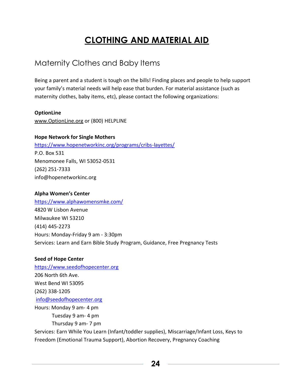# **CLOTHING AND MATERIAL AID**

### <span id="page-23-1"></span><span id="page-23-0"></span>Maternity Clothes and Baby Items

Being a parent and a student is tough on the bills! Finding places and people to help support your family's material needs will help ease that burden. For material assistance (such as maternity clothes, baby items, etc), please contact the following organizations:

#### **OptionLine**

[www.OptionLine.org](http://www.optionline.org/) or (800) HELPLINE

#### **Hope Network for Single Mothers**

<https://www.hopenetworkinc.org/programs/cribs-layettes/> P.O. Box 531 Menomonee Falls, WI 53052-0531 (262) 251-7333 info@hopenetworkinc.org

#### **Alpha Women's Center**

<https://www.alphawomensmke.com/> 4820 W Lisbon Avenue Milwaukee WI 53210 (414) 445-2273 Hours: Monday-Friday 9 am - 3:30pm Services: Learn and Earn Bible Study Program, Guidance, Free Pregnancy Tests

#### **Seed of Hope Center**

[https://www.seedofhopecenter.org](https://www.seedofhopecenter.org/) 206 North 6th Ave. West Bend WI 53095 (262) 338-1205 [info@seedofhopecenter.org](mailto:info@seedofhopecenter.org) Hours: Monday 9 am- 4 pm Tuesday 9 am- 4 pm Thursday 9 am- 7 pm Services: Earn While You Learn (Infant/toddler supplies), Miscarriage/Infant Loss, Keys to Freedom (Emotional Trauma Support), Abortion Recovery, Pregnancy Coaching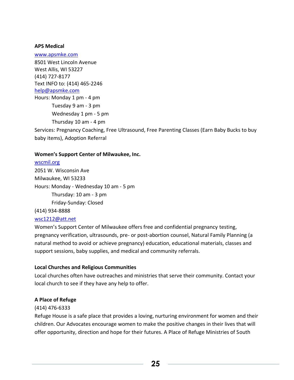#### **APS Medical**

[www.apsmke.com](http://www.apsmke.com/) 8501 West Lincoln Avenue West Allis, WI 53227 (414) 727-8177 Text INFO to: (414) 465-2246 [help@apsmke.com](mailto:help@apsmke.com) Hours: Monday 1 pm - 4 pm Tuesday 9 am - 3 pm Wednesday 1 pm - 5 pm Thursday 10 am - 4 pm Services: Pregnancy Coaching, Free Ultrasound, Free Parenting Classes (Earn Baby Bucks to buy baby items), Adoption Referral

#### **Women's Support Center of Milwaukee, Inc.**

[wscmil.org](http://wscmil.org/) 2051 W. Wisconsin Ave Milwaukee, WI 53233 Hours: Monday - Wednesday 10 am - 5 pm Thursday: 10 am - 3 pm Friday-Sunday: Closed

(414) 934-8888

#### [wsc1212@att.net](mailto:wsc1212@att.net)

Women's Support Center of Milwaukee offers free and confidential pregnancy testing, pregnancy verification, ultrasounds, pre- or post-abortion counsel, Natural Family Planning (a natural method to avoid or achieve pregnancy) education, educational materials, classes and support sessions, baby supplies, and medical and community referrals.

#### **Local Churches and Religious Communities**

Local churches often have outreaches and ministries that serve their community. Contact your local church to see if they have any help to offer.

#### **A Place of Refuge**

#### (414) 476-6333

Refuge House is a safe place that provides a loving, nurturing environment for women and their children. Our Advocates encourage women to make the positive changes in their lives that will offer opportunity, direction and hope for their futures. A Place of Refuge Ministries of South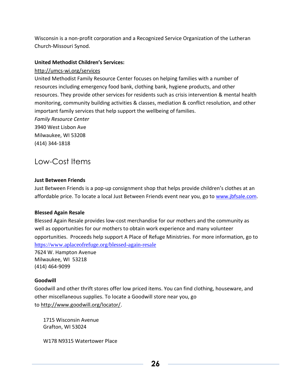Wisconsin is a non-profit corporation and a Recognized Service Organization of the Lutheran Church-Missouri Synod.

#### **United Methodist Children's Services:**

#### <http://umcs-wi.org/services>

United Methodist Family Resource Center focuses on helping families with a number of resources including emergency food bank, clothing bank, hygiene products, and other resources. They provide other services for residents such as crisis intervention & mental health monitoring, community building activities & classes, mediation & conflict resolution, and other important family services that help support the wellbeing of families.

*Family Resource Center* 3940 West Lisbon Ave Milwaukee, WI 53208 (414) 344-1818

### <span id="page-25-0"></span>Low-Cost Items

#### **Just Between Friends**

Just Between Friends is a pop-up consignment shop that helps provide children's clothes at an affordable price. To locate a local Just Between Friends event near you, go to [www.jbfsale.com.](http://www.jbfsale.com/)

#### **Blessed Again Resale**

Blessed Again Resale provides low-cost merchandise for our mothers and the community as well as opportunities for our mothers to obtain work experience and many volunteer opportunities. Proceeds help support A Place of Refuge Ministries. For more information, go to <https://www.aplaceofrefuge.org/blessed-again-resale>

7624 W. Hampton Avenue Milwaukee, WI 53218 (414) 464-9099

#### **Goodwill**

Goodwill and other thrift stores offer low priced items. You can find clothing, houseware, and other miscellaneous supplies. To locate a Goodwill store near you, go to [http://www.goodwill.org/locator/.](http://www.goodwill.org/locator/)

1715 Wisconsin Avenue Grafton, WI 53024

W178 N9315 Watertower Place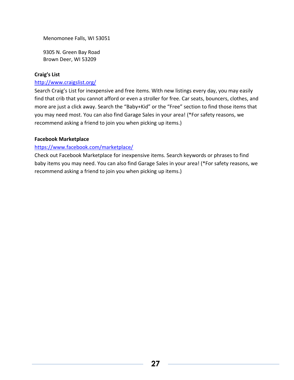Menomonee Falls, WI 53051

9305 N. Green Bay Road Brown Deer, WI 53209

#### **Craig's List**

#### <http://www.craigslist.org/>

Search Craig's List for inexpensive and free items. With new listings every day, you may easily find that crib that you cannot afford or even a stroller for free. Car seats, bouncers, clothes, and more are just a click away. Search the "Baby+Kid" or the "Free" section to find those items that you may need most. You can also find Garage Sales in your area! (\*For safety reasons, we recommend asking a friend to join you when picking up items.)

#### **Facebook Marketplace**

#### <https://www.facebook.com/marketplace/>

Check out Facebook Marketplace for inexpensive items. Search keywords or phrases to find baby items you may need. You can also find Garage Sales in your area! (\*For safety reasons, we recommend asking a friend to join you when picking up items.)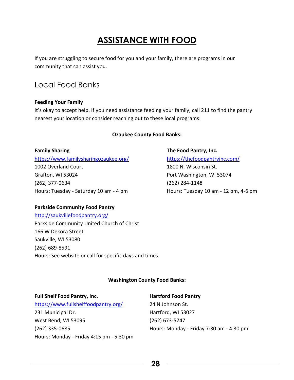# **ASSISTANCE WITH FOOD**

<span id="page-27-0"></span>If you are struggling to secure food for you and your family, there are programs in our community that can assist you.

### <span id="page-27-1"></span>Local Food Banks

#### **Feeding Your Family**

It's okay to accept help. If you need assistance feeding your family, call 211 to find the pantry nearest your location or consider reaching out to these local programs:

#### **Ozaukee County Food Banks:**

#### **Family Sharing**

<https://www.familysharingozaukee.org/> 1002 Overland Court Grafton, WI 53024 (262) 377-0634 Hours: Tuesday - Saturday 10 am - 4 pm

### **The Food Pantry, Inc.** <https://thefoodpantryinc.com/> 1800 N. Wisconsin St. Port Washington, WI 53074

(262) 284-1148 Hours: Tuesday 10 am - 12 pm, 4-6 pm

#### **Parkside Community Food Pantry**

<http://saukvillefoodpantry.org/> Parkside Community United Church of Christ 166 W Dekora Street Saukville, WI 53080 (262) 689-8591 Hours: See website or call for specific days and times.

#### **Washington County Food Banks:**

#### **Full Shelf Food Pantry, Inc.**

<https://www.fullshelffoodpantry.org/> 231 Municipal Dr. West Bend, WI 53095 (262) 335-0685 Hours: Monday - Friday 4:15 pm - 5:30 pm

#### **Hartford Food Pantry**

24 N Johnson St. Hartford, WI 53027 (262) 673-5747 Hours: Monday - Friday 7:30 am - 4:30 pm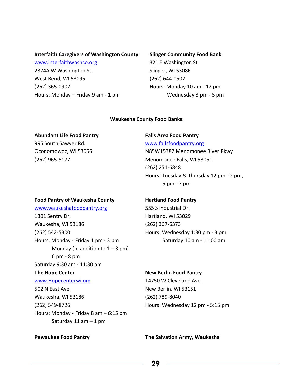#### **Interfaith Caregivers of Washington County**

[www.interfaithwashco.org](http://www.interfaithwashco.org/) 2374A W Washington St. West Bend, WI 53095 (262) 365-0902 Hours: Monday – Friday 9 am - 1 pm

#### **Slinger Community Food Bank**

321 E Washington St Slinger, WI 53086 (262) 644-0507 Hours: Monday 10 am - 12 pm Wednesday 3 pm - 5 pm

#### **Waukesha County Food Banks:**

#### **Abundant Life Food Pantry**

995 South Sawyer Rd. Oconomowoc, WI 53066 (262) 965-5177

#### **Falls Area Food Pantry**

[www.fallsfoodpantry.org](http://www.fallsfoodpantry.org/)

N85W15382 Menomonee River Pkwy Menomonee Falls, WI 53051 (262) 251-6848 Hours: Tuesday & Thursday 12 pm - 2 pm, 5 pm - 7 pm

#### **Food Pantry of Waukesha County**

[www.waukeshafoodpantry.org](http://www.waukeshafoodpantry.org/) 1301 Sentry Dr. Waukesha, WI 53186 (262) 542-5300 Hours: Monday - Friday 1 pm - 3 pm Monday (in addition to  $1 - 3$  pm) 6 pm - 8 pm Saturday 9:30 am - 11:30 am **The Hope Center** [www.Hopecenterwi.org](http://www.hopecenterwi.org/) 502 N East Ave. Waukesha, WI 53186 (262) 549-8726 Hours: Monday - Friday 8 am – 6:15 pm Saturday 11 am  $-$  1 pm

#### **Hartland Food Pantry**

555 S Industrial Dr. Hartland, WI 53029 (262) 367-6373 Hours: Wednesday 1:30 pm - 3 pm Saturday 10 am - 11:00 am

#### **New Berlin Food Pantry**

14750 W Cleveland Ave. New Berlin, WI 53151 (262) 789-8040 Hours: Wednesday 12 pm - 5:15 pm

**Pewaukee Food Pantry The Salvation Army, Waukesha**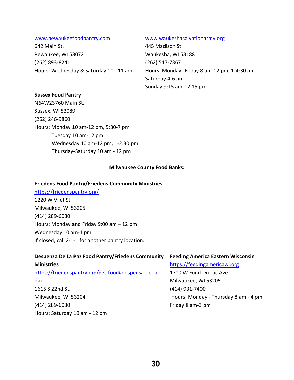#### [www.pewaukeefoodpantry.com](http://www.pewaukeefoodpantry.com/)

642 Main St. Pewaukee, WI 53072 (262) 893-8241 Hours: Wednesday & Saturday 10 - 11 am

#### [www.waukeshasalvationarmy.org](http://www.waukeshasalvationarmy.org/)

445 Madison St. Waukesha, WI 53188 (262) 547-7367 Hours: Monday- Friday 8 am-12 pm, 1-4:30 pm Saturday 4-6 pm Sunday 9:15 am-12:15 pm

#### **Sussex Food Pantry**

N64W23760 Main St. Sussex, WI 53089 (262) 246-9860 Hours: Monday 10 am-12 pm, 5:30-7 pm Tuesday 10 am-12 pm Wednesday 10 am-12 pm, 1-2:30 pm Thursday-Saturday 10 am - 12 pm

#### **Milwaukee County Food Banks:**

#### **Friedens Food Pantry/Friedens Community Ministries**

<https://friedenspantry.org/> 1220 W Vliet St. Milwaukee, WI 53205 (414) 289-6030 Hours: Monday and Friday 9:00 am – 12 pm Wednesday 10 am-1 pm If closed, call 2-1-1 for another pantry location.

| Despenza De La Paz Food Pantry/Friedens Community<br><b>Feeding America Eastern Wisconsin</b> |  |
|-----------------------------------------------------------------------------------------------|--|
| https://feedingamericawi.org                                                                  |  |
| 1700 W Fond Du Lac Ave.                                                                       |  |
| Milwaukee, WI 53205                                                                           |  |
| (414) 931-7400                                                                                |  |
| Hours: Monday - Thursday 8 am - 4 pm                                                          |  |
| Friday 8 am-3 pm                                                                              |  |
|                                                                                               |  |
|                                                                                               |  |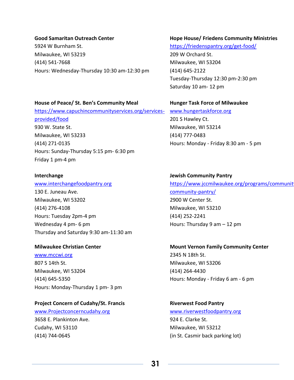#### **Good Samaritan Outreach Center**

5924 W Burnham St. Milwaukee, WI 53219 (414) 541-7668 Hours: Wednesday-Thursday 10:30 am-12:30 pm

#### **Hope House/ Friedens Community Ministries**

<https://friedenspantry.org/get-food/> 209 W Orchard St. Milwaukee, WI 53204 (414) 645-2122 Tuesday-Thursday 12:30 pm-2:30 pm Saturday 10 am- 12 pm

#### **House of Peace/ St. Ben's Community Meal**

[https://www.capuchincommunityservices.org/services](https://www.capuchincommunityservices.org/services-provided/food)[provided/food](https://www.capuchincommunityservices.org/services-provided/food)  930 W. State St. Milwaukee, WI 53233 (414) 271-0135 Hours: Sunday-Thursday 5:15 pm- 6:30 pm Friday 1 pm-4 pm

#### **Interchange**

[www.interchangefoodpantry.org](http://www.interchangefoodpantry.org/) 130 E. Juneau Ave. Milwaukee, WI 53202 (414) 276-4108 Hours: Tuesday 2pm-4 pm Wednesday 4 pm- 6 pm Thursday and Saturday 9:30 am-11:30 am

#### **Milwaukee Christian Center**

[www.mccwi.org](http://www.mccwi.org/) 807 S 14th St. Milwaukee, WI 53204 (414) 645-5350 Hours: Monday-Thursday 1 pm- 3 pm

#### **Project Concern of Cudahy/St. Francis**

[www.Projectconcerncudahy.org](http://www.projectconcerncudahy.org/) 3658 E. Plankinton Ave. Cudahy, WI 53110 (414) 744-0645

#### **Hunger Task Force of Milwaukee**

[www.hungertaskforce.org](http://www.hungertaskforce.org/) 201 S Hawley Ct. Milwaukee, WI 53214 (414) 777-0483 Hours: Monday - Friday 8:30 am - 5 pm

#### **Jewish Community Pantry**

https://www.jccmilwaukee.org/programs/communit [community-pantry/](https://www.jccmilwaukee.org/programs/community/jewish-community-pantry/) 2900 W Center St. Milwaukee, WI 53210 (414) 252-2241 Hours: Thursday 9 am – 12 pm

#### **Mount Vernon Family Community Center**

2345 N 18th St. Milwaukee, WI 53206 (414) 264-4430 Hours: Monday - Friday 6 am - 6 pm

### **Riverwest Food Pantry** [www.riverwestfoodpantry.org](http://www.riverwestfoodpantry.org/)

924 E. Clarke St. Milwaukee, WI 53212 (in St. Casmir back parking lot)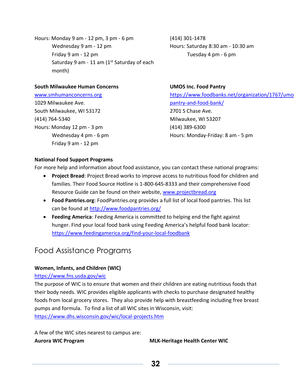Hours: Monday 9 am - 12 pm, 3 pm - 6 pm Wednesday 9 am - 12 pm Friday 9 am - 12 pm Saturday 9 am - 11 am ( $1<sup>st</sup>$  Saturday of each month)

#### **South Milwaukee Human Concerns**

[www.smhumanconcerns.org](http://www.smhumanconcerns.org/) 1029 Milwaukee Ave. South Milwaukee, WI 53172 (414) 764-5340 Hours: Monday 12 pm - 3 pm Wednesday 4 pm - 6 pm Friday 9 am - 12 pm

(414) 301-1478 Hours: Saturday 8:30 am - 10:30 am Tuesday 4 pm - 6 pm

#### **UMOS Inc. Food Pantry**

https://www.foodbanks.net/organization/1767/umo [pantry-and-food-bank/](https://www.foodbanks.net/organization/1767/umos-food-pantry-and-food-bank/) 2701 S Chase Ave. Milwaukee, WI 53207 (414) 389-6300 Hours: Monday-Friday: 8 am - 5 pm

#### **National Food Support Programs**

For more help and information about food assistance, you can contact these national programs:

- **Project Bread**: Project Bread works to improve access to nutritious food for children and families. Their Food Source Hotline is 1-800-645-8333 and their comprehensive Food Resource Guide can be found on their website, [www.projectbread.org](http://www.projectbread.org/)
- **Food Pantries.org**: FoodPantries.org provides a full list of local food pantries. This list can be found at<http://www.foodpantries.org/>
- **Feeding America**: Feeding America is committed to helping end the fight against hunger. Find your local food bank using Feeding America's helpful food bank locator: <https://www.feedingamerica.org/find-your-local-foodbank>

### Food Assistance Programs

#### **Women, Infants, and Children (WIC)**

#### <https://www.fns.usda.gov/wic>

The purpose of WIC is to ensure that women and their children are eating nutritious foods that their body needs. WIC provides eligible applicants with checks to purchase designated healthy foods from local grocery stores. They also provide help with breastfeeding including free breast pumps and formula. To find a list of all WIC sites in Wisconsin, visit: <https://www.dhs.wisconsin.gov/wic/local-projects.htm>

A few of the WIC sites nearest to campus are:

**Aurora WIC Program MLK-Heritage Health Center WIC**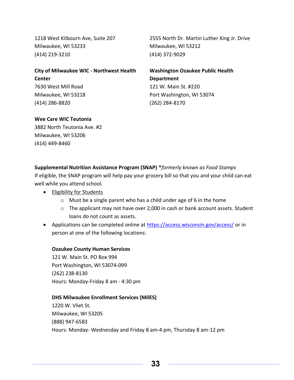1218 West Kilbourn Ave, Suite 207 Milwaukee, WI 53233 (414) 219-3210

2555 North Dr. Martin Luther King Jr. Drive Milwaukee, WI 53212 (414) 372-9029

**City of Milwaukee WIC - Northwest Health Center** 7630 West Mill Road Milwaukee, WI 53218 (414) 286-8820

**Washington Ozaukee Public Health Department** 121 W. Main St. #220 Port Washington, WI 53074 (262) 284-8170

#### **Wee Care WIC Teutonia**

3882 North Teutonia Ave. #2 Milwaukee, WI 53206 (414) 449-8460

**Supplemental Nutrition Assistance Program (SNAP) \****formerly known as Food Stamps* If eligible, the SNAP program will help pay your grocery bill so that you and your child can eat well while you attend school.

- Eligibility for Students
	- $\circ$  Must be a single parent who has a child under age of 6 in the home
	- o The applicant may not have over 2,000 in cash or bank account assets. Student loans do not count as assets.
- Applications can be completed online at<https://access.wisconsin.gov/access/> or in person at one of the following locations:

#### **Ozaukee County Human Services**

121 W. Main St. PO Box 994 Port Washington, WI 53074-099 (262) 238-8130 Hours: Monday-Friday 8 am - 4:30 pm

#### **DHS Milwaukee Enrollment Services (MilES)**

1220 W. Vliet St. Milwaukee, WI 53205 (888) 947-6583 Hours: Monday- Wednesday and Friday 8 am-4 pm, Thursday 8 am-12 pm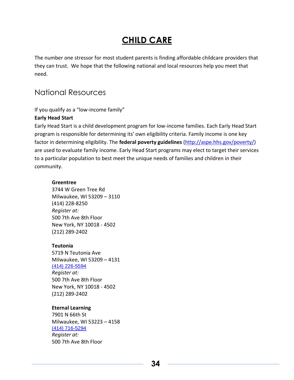### **CHILD CARE**

<span id="page-33-0"></span>The number one stressor for most student parents is finding affordable childcare providers that they can trust. We hope that the following national and local resources help you meet that need.

### <span id="page-33-1"></span>National Resources

If you qualify as a "low-income family"

#### **Early Head Start**

Early Head Start is a child development program for low-income families. Each Early Head Start program is responsible for determining its' own eligibility criteria. Family income is one key factor in determining eligibility. The **federal poverty guidelines** [\(http://aspe.hhs.gov/poverty/\)](http://aspe.hhs.gov/poverty/) are used to evaluate family income. Early Head Start programs may elect to target their services to a particular population to best meet the unique needs of families and children in their community.

#### **Greentree**

3744 W Green Tree Rd Milwaukee, WI 53209 – 3110 (414) 228-8250 *Register at:* 500 7th Ave 8th Floor New York, NY 10018 - 4502 (212) 289-2402

#### **Teutonia**

5719 N Teutonia Ave Milwaukee, WI 53209 – 4131 [\(414\) 226-5594](https://www.google.com/search?q=Teutonia+head+start+5719+N+Teutonia+Ave++Milwaukee%2C+WI+53209+-+4131+&client=safari&rls=en&sxsrf=APq-WBudBGwhV84x-CJQ2t50Zwdep-oDCQ%3A1644789631691&ei=f38JYr7nKbilptQP8Ne3sAU&ved=0ahUKEwj-oujt1v31AhW4kokEHfDrDVYQ4dUDCA0&uact=5&oq=Teutonia+head+start+5719+N+Teutonia+Ave++Milwaukee%2C+WI+53209+-+4131+&gs_lcp=Cgdnd3Mtd2l6EAM6CggjEOoCECcQiwM6BwgjEOoCECdKBAhBGABKBAhGGABQuAVYtB5g3SNoAXAAeACAAV6IAboHkgECMTKYAQCgAQGgAQKwAQq4AQLAAQE&sclient=gws-wiz) *Register at:* 500 7th Ave 8th Floor New York, NY 10018 - 4502 (212) 289-2402

#### **Eternal Learning**

7901 N 66th St Milwaukee, WI 53223 – 4158 [\(414\) 716-5294](https://www.google.com/search?q=eternal+learning+head+starst&client=safari&rls=en&sxsrf=APq-WBuxO3gLyb_pPkazsvHxqE3n7hoa2Q%3A1644789702698&ei=xn8JYqeaKtmdptQPz-KLuA4&ved=0ahUKEwinldaP1_31AhXZjokEHU_xAucQ4dUDCA0&uact=5&oq=eternal+learning+head+starst&gs_lcp=Cgdnd3Mtd2l6EAMyBwghEAoQoAEyBQghEKsCOgcIABBHELADOgoIIxDqAhAnEIsDOgcIIxDqAhAnOgQIABBHOgQIIxAnOgUIABCRAjoOCC4QgAQQsQMQxwEQ0QM6EQguEIAEELEDEIMBEMcBENEDOgsILhCABBDHARDRAzoLCC4QgAQQsQMQ1AI6CwguEMcBEK8BEJECOgcIABCxAxBDOgsILhCABBDHARCvAToFCAAQgAQ6CwguEIAEELEDEIMBOg0ILhCxAxDHARDRAxBDOhAILhCABBCHAhDHARCvARAUOgcILhCxAxBDOg4ILhCABBCxAxCDARDUAjoECC4QQzoICAAQgAQQsQM6DQguELEDEIMBENQCEEM6CAguELEDEIMBOgoILhCxAxDUAhBDOggILhCABBCxAzoFCAAQsQM6BQguEIAEOgsIABCABBCxAxCDAToICC4QgAQQ1AI6BggAEBYQHjoFCCEQoAE6CAghEBYQHRAeSgQIQRgASgQIRhgAUPYBWPxQYK5TaARwAXgAgAFziAGuE5IBBDI3LjKYAQCgAQKgAQGwAQrIAQi4AQLAAQE&sclient=gws-wiz) *Register at:* 500 7th Ave 8th Floor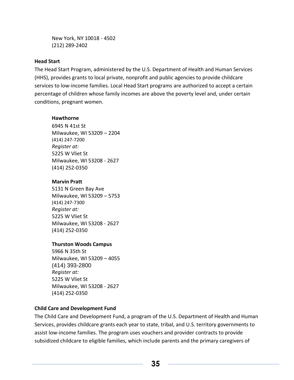New York, NY 10018 - 4502 (212) 289-2402

#### **Head Start**

The Head Start Program, administered by the U.S. Department of Health and Human Services (HHS), provides grants to local private, nonprofit and public agencies to provide childcare services to low-income families. Local Head Start programs are authorized to accept a certain percentage of children whose family incomes are above the poverty level and, under certain conditions, pregnant women.

#### **Hawthorne**

6945 N 41st St Milwaukee, WI 53209 – 2204 (414) 247-7200 *Register at:* 5225 W Vliet St Milwaukee, WI 53208 - 2627 (414) 252-0350

#### **Marvin Pratt**

5131 N Green Bay Ave Milwaukee, WI 53209 – 5753 (414) 247-7300 *Register at:* 5225 W Vliet St Milwaukee, WI 53208 - 2627 (414) 252-0350

#### **Thurston Woods Campus**

5966 N 35th St Milwaukee, WI 53209 – 4055 (414) 393-2800 *Register at:* 5225 W Vliet St Milwaukee, WI 53208 - 2627 (414) 252-0350

#### **Child Care and Development Fund**

The Child Care and Development Fund, a program of the U.S. Department of Health and Human Services, provides childcare grants each year to state, tribal, and U.S. territory governments to assist low-income families. The program uses vouchers and provider contracts to provide subsidized childcare to eligible families, which include parents and the primary caregivers of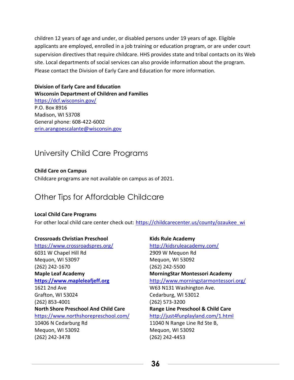children 12 years of age and under, or disabled persons under 19 years of age. Eligible applicants are employed, enrolled in a job training or education program, or are under court supervision directives that require childcare. HHS provides state and tribal contacts on its Web site. Local departments of social services can also provide information about the program. Please contact the Division of Early Care and Education for more information.

#### **Division of Early Care and Education Wisconsin Department of Children and Families** <https://dcf.wisconsin.gov/> P.O. Box 8916 Madison, WI 53708 General phone: 608-422-6002

[erin.arangoescalante@wisconsin.gov](mailto:erin.arangoescalante@wisconsin.gov)

### <span id="page-35-0"></span>University Child Care Programs

#### **Child Care on Campus**

Childcare programs are not available on campus as of 2021.

### <span id="page-35-1"></span>Other Tips for Affordable Childcare

#### **Local Child Care Programs**

For other local child care center check out: [https://childcarecenter.us/county/ozaukee\\_wi](https://childcarecenter.us/county/ozaukee_wi)

#### **Crossroads Christian Preschool**

<https://www.crossroadspres.org/> 6031 W Chapel Hill Rd Mequon, WI 53097 (262) 242-1670 **Maple Leaf Academy [https://www.mapleleafjeff.org](https://www.mapleleafjeff.org/)** 1621 2nd Ave Grafton, WI 53024 (262) 853-4001 **North Shore Preschool And Child Care** <https://www.northshorepreschool.com/> 10406 N Cedarburg Rd Mequon, WI 53092 (262) 242-3478

**Kids Rule Academy** <http://kidsruleacademy.com/> 2909 W Mequon Rd Mequon, WI 53092 (262) 242-5500 **MorningStar Montessori Academy** <http://www.morningstarmontessori.org/> W63 N131 Washington Ave. Cedarburg, WI 53012 (262) 573-3200 **Range Line Preschool & Child Care** <http://just4funplayland.com/1.html> 11040 N Range Line Rd Ste B, Mequon, WI 53092 (262) 242-4453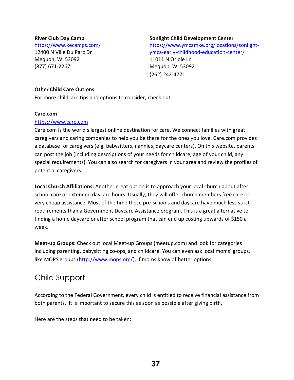### **River Club Day Camp**

<https://www.kecamps.com/> 12400 N Ville Du Parc Dr Mequon, WI 53092 (877) 671-2267

#### **Sonlight Child Development Center**

[https://www.ymcamke.org/locations/sonlight](https://www.ymcamke.org/locations/sonlight-ymca-early-childhood-education-center/)[ymca-early-childhood-education-center/](https://www.ymcamke.org/locations/sonlight-ymca-early-childhood-education-center/) 11011 N Oriole Ln Mequon, WI 53092 (262) 242-4771

#### **Other Child Care Options**

For more childcare tips and options to consider, check out:

#### **Care.com**

#### [https://www.care.com](https://www.care.com/)

Care.com is the world's largest online destination for care. We connect families with great caregivers and caring companies to help you be there for the ones you love. Care.com provides a database for caregivers (e.g. babysitters, nannies, daycare centers). On this website, parents can post the job (including descriptions of your needs for childcare, age of your child, any special requirements). You can also search for caregivers in your area and review the profiles of potential caregivers.

**Local Church Affiliations:** Another great option is to approach your local church about after school care or extended daycare hours. Usually, they will offer church members free care or very cheap assistance. Most of the time these pre-schools and daycare have much less strict requirements than a Government Daycare Assistance program. This is a great alternative to finding a home daycare or after school program that can end up costing upwards of \$150 a week.

**Meet-up Groups:** Check out local Meet-up Groups (meetup.com) and look for categories including parenting, babysitting co-ops, and childcare. You can even ask local moms' groups, like MOPS groups [\(http://www.mops.org/\)](http://www.mops.org/), if moms know of better options.

### Child Support

According to the Federal Government, every child is entitled to receive financial assistance from both parents. It is important to secure this as soon as possible after giving birth.

Here are the steps that need to be taken: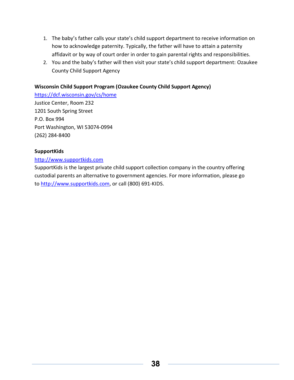- 1. The baby's father calls your state's child support department to receive information on how to acknowledge paternity. Typically, the father will have to attain a paternity affidavit or by way of court order in order to gain parental rights and responsibilities.
- 2. You and the baby's father will then visit your state's child support department: Ozaukee County Child Support Agency

### **Wisconsin Child Support Program (Ozaukee County Child Support Agency)**

<https://dcf.wisconsin.gov/cs/home> Justice Center, Room 232 1201 South Spring Street P.O. Box 994 Port Washington, WI 53074-0994 (262) 284-8400

### **SupportKids**

### [http://www.supportkids.com](http://www.supportkids.com/)

[SupportKids](http://www.supportkids.com/) is the largest private child support collection company in the country offering custodial parents an alternative to government agencies. For more information, please go to [http://www.supportkids.com,](http://www.supportkids.com/) or call (800) 691-KIDS.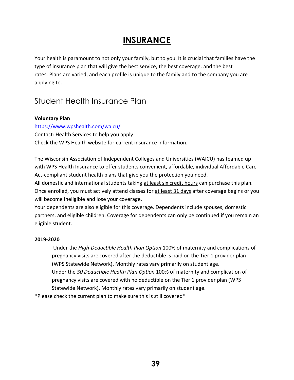# **INSURANCE**

Your health is paramount to not only your family, but to you. It is crucial that families have the type of insurance plan that will give the best service, the best coverage, and the best rates. Plans are varied, and each profile is unique to the family and to the company you are applying to.

# Student Health Insurance Plan

### **Voluntary Plan**

<https://www.wpshealth.com/waicu/> Contact: Health Services to help you apply Check the WPS Health website for current insurance information.

The Wisconsin Association of Independent Colleges and Universities (WAICU) has teamed up with WPS Health Insurance to offer students convenient, affordable, individual Affordable Care Act-compliant student health plans that give you the protection you need.

All domestic and international students taking at least six credit hours can purchase this plan. Once enrolled, you must actively attend classes for at least 31 days after coverage begins or you will become ineligible and lose your coverage.

Your dependents are also eligible for this coverage. Dependents include spouses, domestic partners, and eligible children. Coverage for dependents can only be continued if you remain an eligible student.

### **2019-2020**

Under the *High-Deductible Health Plan Option* 100% of maternity and complications of pregnancy visits are covered after the deductible is paid on the Tier 1 provider plan (WPS Statewide Network). Monthly rates vary primarily on student age. Under the *\$0 Deductible Health Plan Option* 100% of maternity and complication of pregnancy visits are covered with no deductible on the Tier 1 provider plan (WPS Statewide Network). Monthly rates vary primarily on student age.

\*Please check the current plan to make sure this is still covered\*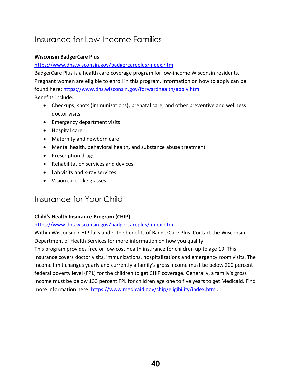# Insurance for Low-Income Families

### **Wisconsin BadgerCare Plus**

### <https://www.dhs.wisconsin.gov/badgercareplus/index.htm>

BadgerCare Plus is a health care coverage program for low-income Wisconsin residents. Pregnant women are eligible to enroll in this program. Information on how to apply can be found here:<https://www.dhs.wisconsin.gov/forwardhealth/apply.htm> Benefits include:

- Checkups, shots (immunizations), prenatal care, and other preventive and wellness doctor visits.
- Emergency department visits
- Hospital care
- Maternity and newborn care
- Mental health, behavioral health, and substance abuse treatment
- Prescription drugs
- Rehabilitation services and devices
- Lab visits and x-ray services
- Vision care, like glasses

# Insurance for Your Child

### **Child's Health Insurance Program (CHIP)**

### <https://www.dhs.wisconsin.gov/badgercareplus/index.htm>

Within Wisconsin, CHIP falls under the benefits of BadgerCare Plus. Contact the Wisconsin Department of Health Services for more information on how you qualify.

This program provides free or low-cost health insurance for children up to age 19. This insurance covers doctor visits, immunizations, hospitalizations and emergency room visits. The income limit changes yearly and currently a family's gross income must be below 200 percent federal poverty level (FPL) for the children to get CHIP coverage. Generally, a family's gross income must be below 133 percent FPL for children age one to five years to get Medicaid. Find more information here: [https://www.medicaid.gov/chip/eligibility/index.html.](https://www.medicaid.gov/chip/eligibility/index.html)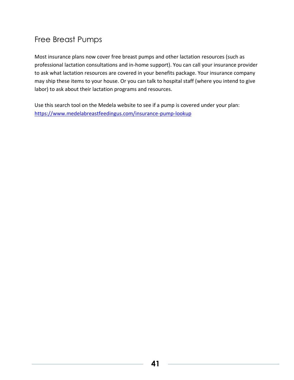# Free Breast Pumps

Most insurance plans now cover free breast pumps and other lactation resources (such as professional lactation consultations and in-home support). You can call your insurance provider to ask what lactation resources are covered in your benefits package. Your insurance company may ship these items to your house. Or you can talk to hospital staff (where you intend to give labor) to ask about their lactation programs and resources.

Use this search tool on the Medela website to see if a pump is covered under your plan: <https://www.medelabreastfeedingus.com/insurance-pump-lookup>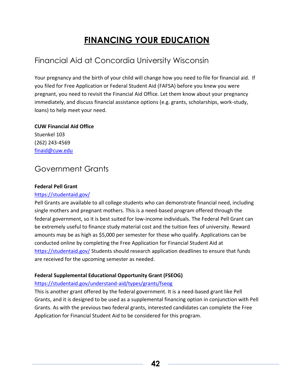# **FINANCING YOUR EDUCATION**

# Financial Aid at Concordia University Wisconsin

Your pregnancy and the birth of your child will change how you need to file for financial aid. If you filed for Free Application or Federal Student Aid (FAFSA) before you knew you were pregnant, you need to revisit the Financial Aid Office. Let them know about your pregnancy immediately, and discuss financial assistance options (e.g. grants, scholarships, work-study, loans) to help meet your need.

### **CUW Financial Aid Office**

Stuenkel 103 (262) 243-4569 [finaid@cuw.edu](mailto:finaid@cuw.edu)

# Government Grants

### **Federal Pell Grant**

### <https://studentaid.gov/>

Pell Grants are available to all college students who can demonstrate financial need, including single mothers and pregnant mothers. This is a need-based program offered through the federal government, so it is best suited for low-income individuals. The Federal Pell Grant can be extremely useful to finance study material cost and the tuition fees of university. Reward amounts may be as high as \$5,000 per semester for those who qualify. Applications can be conducted online by completing the Free Application for Financial Student Aid at <https://studentaid.gov/> Students should research application deadlines to ensure that funds are received for the upcoming semester as needed.

### **Federal Supplemental Educational Opportunity Grant (FSEOG)**

### <https://studentaid.gov/understand-aid/types/grants/fseog>

This is another grant offered by the federal government. It is a need-based grant like Pell Grants, and it is designed to be used as a supplemental financing option in conjunction with Pell Grants. As with the previous two federal grants, interested candidates can complete the Free Application for Financial Student Aid to be considered for this program.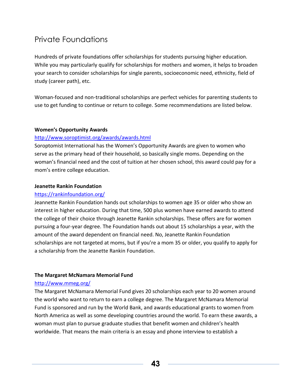# Private Foundations

Hundreds of private foundations offer scholarships for students pursuing higher education. While you may particularly qualify for scholarships for mothers and women, it helps to broaden your search to consider scholarships for single parents, socioeconomic need, ethnicity, field of study (career path), etc.

Woman-focused and non-traditional scholarships are perfect vehicles for parenting students to use to get funding to continue or return to college. Some recommendations are listed below.

### **Women's Opportunity Awards**

### <http://www.soroptimist.org/awards/awards.html>

Soroptomist International has the Women's Opportunity Awards are given to women who serve as the primary head of their household, so basically single moms. Depending on the woman's financial need and the cost of tuition at her chosen school, this award could pay for a mom's entire college education.

### **Jeanette Rankin Foundation**

### <https://rankinfoundation.org/>

Jeannette Rankin Foundation hands out scholarships to women age 35 or older who show an interest in higher education. During that time, 500 plus women have earned awards to attend the college of their choice through Jeanette Rankin scholarships. These offers are for women pursuing a four-year degree. The Foundation hands out about 15 scholarships a year, with the amount of the award dependent on financial need. No, Jeanette Rankin Foundation scholarships are not targeted at moms, but if you're a mom 35 or older, you qualify to apply for a scholarship from the Jeanette Rankin Foundation.

### **The Margaret McNamara Memorial Fund**

### <http://www.mmeg.org/>

The Margaret McNamara Memorial Fund gives 20 scholarships each year to 20 women around the world who want to return to earn a college degree. The Margaret McNamara Memorial Fund is sponsored and run by the World Bank, and awards educational grants to women from North America as well as some developing countries around the world. To earn these awards, a woman must plan to pursue graduate studies that benefit women and children's health worldwide. That means the main criteria is an essay and phone interview to establish a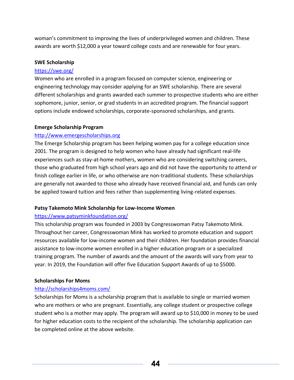woman's commitment to improving the lives of underprivileged women and children. These awards are worth \$12,000 a year toward college costs and are renewable for four years.

#### **SWE Scholarship**

### <https://swe.org/>

Women who are enrolled in a program focused on computer science, engineering or engineering technology may consider applying for an SWE scholarship. There are several different scholarships and grants awarded each summer to prospective students who are either sophomore, junior, senior, or grad students in an accredited program. The financial support options include endowed scholarships, corporate-sponsored scholarships, and grants.

#### **Emerge Scholarship Program**

### [http://www.emergescholarships.org](http://www.emergescholarships.org/)

The Emerge Scholarship program has been helping women pay for a college education since 2001. The program is designed to help women who have already had significant real-life experiences such as stay-at-home mothers, women who are considering switching careers, those who graduated from high school years ago and did not have the opportunity to attend or finish college earlier in life, or who otherwise are non-traditional students. These scholarships are generally not awarded to those who already have received financial aid, and funds can only be applied toward tuition and fees rather than supplementing living-related expenses.

### **Patsy Takemoto Mink Scholarship for Low-Income Women**

### <https://www.patsyminkfoundation.org/>

This scholarship program was founded in 2003 by Congresswoman Patsy Takemoto Mink. Throughout her career, Congresswoman Mink has worked to promote education and support resources available for low-income women and their children. Her foundation provides financial assistance to low-income women enrolled in a higher education program or a specialized training program. The number of awards and the amount of the awards will vary from year to year. In 2019, the Foundation will offer five Education Support Awards of up to \$5000.

### **Scholarships For Moms**

### <http://scholarships4moms.com/>

Scholarships for Moms is a scholarship program that is available to single or married women who are mothers or who are pregnant. Essentially, any college student or prospective college student who is a mother may apply. The program will award up to \$10,000 in money to be used for higher education costs to the recipient of the scholarship. The scholarship application can be completed online at the above website.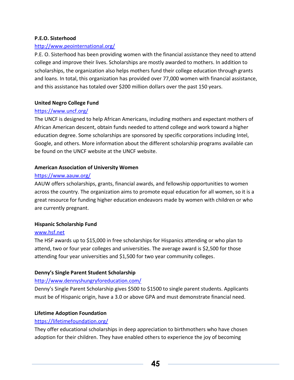### **P.E.O. Sisterhood**

### <http://www.peointernational.org/>

P.E. O. Sisterhood has been providing women with the financial assistance they need to attend college and improve their lives. Scholarships are mostly awarded to mothers. In addition to scholarships, the organization also helps mothers fund their college education through grants and loans. In total, this organization has provided over 77,000 women with financial assistance, and this assistance has totaled over \$200 million dollars over the past 150 years.

### **United Negro College Fund**

### <https://www.uncf.org/>

The UNCF is designed to help African Americans, including mothers and expectant mothers of African American descent, obtain funds needed to attend college and work toward a higher education degree. Some scholarships are sponsored by specific corporations including Intel, Google, and others. More information about the different scholarship programs available can be found on the UNCF website at the UNCF website.

### **American Association of University Women**

### <https://www.aauw.org/>

AAUW offers scholarships, grants, financial awards, and fellowship opportunities to women across the country. The organization aims to promote equal education for all women, so it is a great resource for funding higher education endeavors made by women with children or who are currently pregnant.

### **Hispanic Scholarship Fund**

### [www.hsf.net](http://www.hsf.net/)

The HSF awards up to \$15,000 in free scholarships for Hispanics attending or who plan to attend, two or four year colleges and universities. The average award is \$2,500 for those attending four year universities and \$1,500 for two year community colleges.

### **Denny's Single Parent Student Scholarship**

### <http://www.dennyshungryforeducation.com/>

Denny's Single Parent Scholarship gives \$500 to \$1500 to single parent students. Applicants must be of Hispanic origin, have a 3.0 or above GPA and must demonstrate financial need.

### **Lifetime Adoption Foundation**

### <https://lifetimefoundation.org/>

They offer educational scholarships in deep appreciation to birthmothers who have chosen adoption for their children. They have enabled others to experience the joy of becoming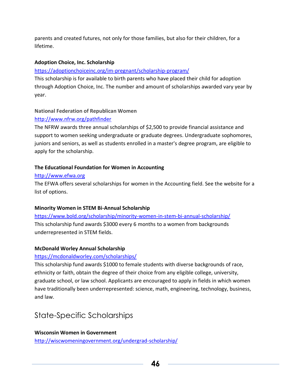parents and created futures, not only for those families, but also for their children, for a lifetime.

### **Adoption Choice, Inc. Scholarship**

### <https://adoptionchoiceinc.org/im-pregnant/scholarship-program/>

This scholarship is for available to birth parents who have placed their child for adoption through Adoption Choice, Inc. The number and amount of scholarships awarded vary year by year.

### **National Federation of Republican Women**

### <http://www.nfrw.org/pathfinder>

The NFRW awards three annual scholarships of \$2,500 to provide financial assistance and support to women seeking undergraduate or graduate degrees. Undergraduate sophomores, juniors and seniors, as well as students enrolled in a master's degree program, are eligible to apply for the scholarship.

### **The Educational Foundation for Women in Accounting**

### [http://www.efwa.org](http://www.efwa.org/scholarships_undergraduate.php)

The EFWA offers several scholarships for women in the Accounting field. See the website for a list of options.

### **Minority Women in STEM Bi-Annual Scholarship**

<https://www.bold.org/scholarship/minority-women-in-stem-bi-annual-scholarship/> This scholarship fund awards \$3000 every 6 months to a women from backgrounds underrepresented in STEM fields.

### **McDonald Worley Annual Scholarship**

### <https://mcdonaldworley.com/scholarships/>

This scholarship fund awards \$1000 to female students with diverse backgrounds of race, ethnicity or faith, obtain the degree of their choice from any eligible college, university, graduate school, or law school. Applicants are encouraged to apply in fields in which women have traditionally been underrepresented: science, math, engineering, technology, business, and law.

# State-Specific Scholarships

### **Wisconsin Women in Government**

<http://wiscwomeningovernment.org/undergrad-scholarship/>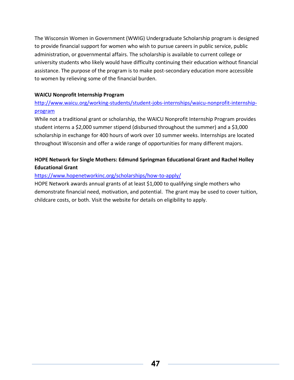The Wisconsin Women in Government (WWIG) Undergraduate Scholarship program is designed to provide financial support for women who wish to pursue careers in public service, public administration, or governmental affairs. The scholarship is available to current college or university students who likely would have difficulty continuing their education without financial assistance. The purpose of the program is to make post-secondary education more accessible to women by relieving some of the financial burden.

### **WAICU Nonprofit Internship Program**

### [http://www.waicu.org/working-students/student-jobs-internships/waicu-nonprofit-internship](http://www.waicu.org/working-students/student-jobs-internships/waicu-nonprofit-internship-program)[program](http://www.waicu.org/working-students/student-jobs-internships/waicu-nonprofit-internship-program)

While not a traditional grant or scholarship, the WAICU Nonprofit Internship Program provides student interns a \$2,000 summer stipend (disbursed throughout the summer) and a \$3,000 scholarship in exchange for 400 hours of work over 10 summer weeks. Internships are located throughout Wisconsin and offer a wide range of opportunities for many different majors.

### **HOPE Network for Single Mothers: Edmund Springman Educational Grant and Rachel Holley Educational Grant**

### <https://www.hopenetworkinc.org/scholarships/how-to-apply/>

HOPE Network awards annual grants of at least \$1,000 to qualifying single mothers who demonstrate financial need, motivation, and potential. The grant may be used to cover tuition, childcare costs, or both. Visit the website for details on eligibility to apply.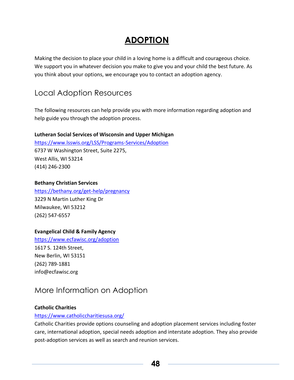# **ADOPTION**

Making the decision to place your child in a loving home is a difficult and courageous choice. We support you in whatever decision you make to give you and your child the best future. As you think about your options, we encourage you to contact an adoption agency.

# Local Adoption Resources

The following resources can help provide you with more information regarding adoption and help guide you through the adoption process.

### **Lutheran Social Services of Wisconsin and Upper Michigan**

<https://www.lsswis.org/LSS/Programs-Services/Adoption> 6737 W Washington Street, Suite 2275, West Allis, WI 53214 (414) 246-2300

### **Bethany Christian Services**

<https://bethany.org/get-help/pregnancy> 3229 N Martin Luther King Dr Milwaukee, WI 53212 (262) 547-6557

### **Evangelical Child & Family Agency**

<https://www.ecfawisc.org/adoption> 1617 S. 124th Street, New Berlin, WI 53151 (262) 789-1881 info@ecfawisc.org

# More Information on Adoption

### **[Catholic Charities](http://www.catholicharitiesusa.org/)**

### <https://www.catholiccharitiesusa.org/>

Catholic Charities provide options counseling and adoption placement services including foster care, international adoption, special needs adoption and interstate adoption. They also provide post-adoption services as well as search and reunion services.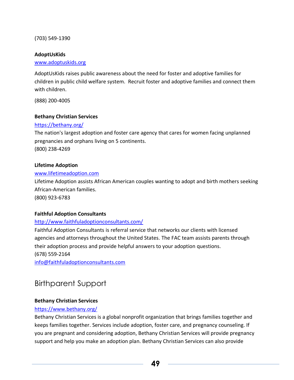(703) 549-1390

### **[AdoptUsKids](http://adoptuskids.org/)**

#### [www.adoptuskids.org](http://www.adoptuskids.org/)

AdoptUsKids raises public awareness about the need for foster and adoptive families for children in public child welfare system. Recruit foster and adoptive families and connect them with children.

(888) 200-4005

### **[Bethany Christian Services](http://bethany.org/)**

#### <https://bethany.org/>

The nation's largest adoption and foster care agency that cares for women facing unplanned pregnancies and orphans living on 5 continents. (800) 238-4269

#### **[Lifetime Adoption](http://africanamericanadoptionsonline.com/)**

#### [www.lifetimeadoption.com](http://www.lifetimeadoption.com/)

Lifetime Adoption assists African American couples wanting to adopt and birth mothers seeking African-American families. (800) 923-6783

#### **[Faithful Adoption Consultants](http://faithfuladoptionconsultants.org/)**

#### <http://www.faithfuladoptionconsultants.com/>

Faithful Adoption Consultants is referral service that networks our clients with licensed agencies and attorneys throughout the United States. The FAC team assists parents through their adoption process and provide helpful answers to your adoption questions. (678) 559-2164

[info@faithfuladoptionconsultants.com](mailto:info@faithfuladoptionconsultants.com)

### Birthparent Support

### **Bethany Christian Services**

### <https://www.bethany.org/>

Bethany Christian Services is a global nonprofit organization that brings families together and keeps families together. Services include adoption, foster care, and pregnancy counseling. If you are pregnant and considering adoption, Bethany Christian Services will provide pregnancy support and help you make an adoption plan. Bethany Christian Services can also provide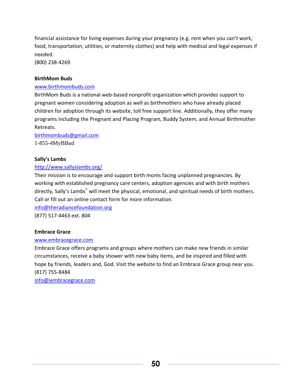financial assistance for living expenses during your pregnancy (e.g. rent when you can't work, food, transportation, utilities, or maternity clothes) and help with medical and legal expenses if needed.

(800) 238-4269

#### **BirthMom Buds**

#### [www.birthmombuds.com](http://www.birthmombuds.com/)

BirthMom Buds is a national web-based nonprofit organization which provides support to pregnant women considering adoption as well as birthmothers who have already placed children for adoption through its website, toll free support line. Additionally, they offer many programs including the Pregnant and Placing Program, Buddy System, and Annual Birthmother Retreats.

[birthmombuds@gmail.com](mailto:birthmombuds@gmail.com) 1-855-4MyBBud

#### **[Sally's Lambs](http://www.sallyslambs.org/)**

### <http://www.sallyslambs.org/>

Their mission is to encourage and support birth moms facing unplanned pregnancies. By working with established pregnancy care centers, adoption agencies and with birth mothers directly, Sally's Lambs<sup>®</sup> will meet the physical, emotional, and spiritual needs of birth mothers. Call or fill out an online contact form for more information.

[info@theradiancefoundation.org](mailto:info@theradiancefoundation.org)

(877) 517-4463 ext. 804

### **Embrace Grace**

#### [www.embracegrace.com](http://www.embracegrace.com/)

Embrace Grace offers programs and groups where mothers can make new friends in similar circumstances, receive a baby shower with new baby items, and be inspired and filled with hope by friends, leaders and, God. Visit the website to find an Embrace Grace group near you. (817) 755-8484

[info@iembracegrace.com](mailto:info@iembracegrace.com)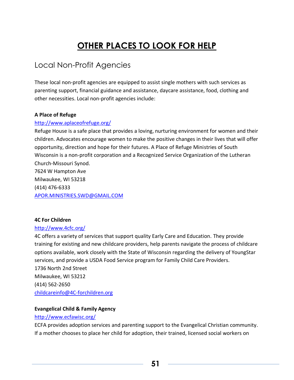# **OTHER PLACES TO LOOK FOR HELP**

# Local Non-Profit Agencies

These local non-profit agencies are equipped to assist single mothers with such services as parenting support, financial guidance and assistance, daycare assistance, food, clothing and other necessities. Local non-profit agencies include:

### **A Place of Refuge**

### <http://www.aplaceofrefuge.org/>

Refuge House is a safe place that provides a loving, nurturing environment for women and their children. Advocates encourage women to make the positive changes in their lives that will offer opportunity, direction and hope for their futures. A Place of Refuge Ministries of South Wisconsin is a non-profit corporation and a Recognized Service Organization of the Lutheran Church-Missouri Synod. 7624 W Hampton Ave Milwaukee, WI 53218 (414) 476-6333 [APOR.MINISTRIES.SWD@GMAIL.COM](mailto:APOR.MINISTRIES.SWD@GMAIL.COM)

### **4C For Children**

### <http://www.4cfc.org/>

4C offers a variety of services that support quality Early Care and Education. They provide training for existing and new childcare providers, help parents navigate the process of childcare options available, work closely with the State of Wisconsin regarding the delivery of YoungStar services, and provide a USDA Food Service program for Family Child Care Providers. 1736 North 2nd Street Milwaukee, WI 53212 (414) 562-2650 [childcareinfo@4C-forchildren.org](mailto:childcareinfo@4C-forchildren.org)

### **Evangelical Child & Family Agency**

### <http://www.ecfawisc.org/>

ECFA provides adoption services and parenting support to the Evangelical Christian community. If a mother chooses to place her child for adoption, their trained, licensed social workers on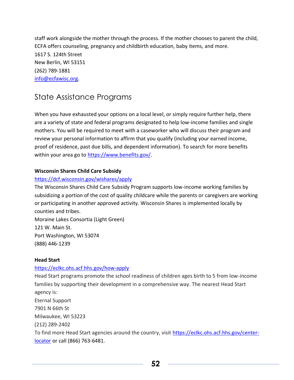staff work alongside the mother through the process. If the mother chooses to parent the child, ECFA offers counseling, pregnancy and childbirth education, baby items, and more. 1617 S. 124th Street New Berlin, WI 53151 (262) 789-1881 [info@ecfawisc.org.](mailto:info@ecfawisc.org)

# State Assistance Programs

When you have exhausted your options on a local level, or simply require further help, there are a variety of state and federal programs designated to help low-income families and single mothers. You will be required to meet with a caseworker who will discuss their program and review your personal information to affirm that you qualify (including your earned income, proof of residence, past due bills, and dependent information). To search for more benefits within your area go to [https://www.benefits.gov/.](https://www.benefits.gov/)

### **Wisconsin Shares Child Care Subsidy**

### <https://dcf.wisconsin.gov/wishares/apply>

The Wisconsin Shares Child Care Subsidy Program supports low-income working families by subsidizing a portion of the cost of quality childcare while the parents or caregivers are working or participating in another approved activity. Wisconsin Shares is implemented locally by counties and tribes.

Moraine Lakes Consortia (Light Green) 121 W. Main St. Port Washington, WI 53074 (888) 446-1239

### **Head Start**

### <https://eclkc.ohs.acf.hhs.gov/how-apply>

Head Start programs promote the school readiness of children ages birth to 5 from low-income families by supporting their development in a comprehensive way. The nearest Head Start agency is: Eternal Support 7901 N 66th St Milwaukee, WI 53223 (212) 289-2402 To find more Head Start agencies around the country, visit [https://eclkc.ohs.acf.hhs.gov/center](https://eclkc.ohs.acf.hhs.gov/center-locator)[locator](https://eclkc.ohs.acf.hhs.gov/center-locator) or call (866) 763-6481.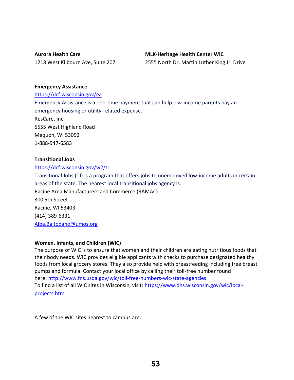**Aurora Health Care** 1218 West Kilbourn Ave, Suite 207

### **MLK-Heritage Health Center WIC**

2555 North Dr. Martin Luther King Jr. Drive

#### **Emergency Assistance**

<https://dcf.wisconsin.gov/ea> Emergency Assistance is a one-time payment that can help low-income parents pay an emergency housing or utility-related expense. ResCare, Inc. 5555 West Highland Road Mequon, WI 53092 1-888-947-6583

### **Transitional Jobs**

<https://dcf.wisconsin.gov/w2/tj>

Transitional Jobs (TJ) is a program that offers jobs to unemployed low-income adults in certain areas of the state. The nearest local transitional jobs agency is: Racine Area Manufacturers and Commerce (RAMAC) 300 5th Street Racine, WI 53403 (414) 389-6331 [Alba.Baltodano@umos.org](mailto:Alba.Baltodano@umos.org)

### **Women, Infants, and Children (WIC)**

The purpose of WIC is to ensure that women and their children are eating nutritious foods that their body needs. WIC provides eligible applicants with checks to purchase designated healthy foods from local grocery stores. They also provide help with breastfeeding including free breast pumps and formula. Contact your local office by calling their toll-free number found here: [http://www.fns.usda.gov/wic/toll-free-numbers-wic-state-agencies.](http://www.fns.usda.gov/wic/toll-free-numbers-wic-state-agencies) To find a list of all WIC sites in Wisconsin, visit: [https://www.dhs.wisconsin.gov/wic/local](https://www.dhs.wisconsin.gov/wic/local-projects.htm)[projects.htm](https://www.dhs.wisconsin.gov/wic/local-projects.htm)

A few of the WIC sites nearest to campus are: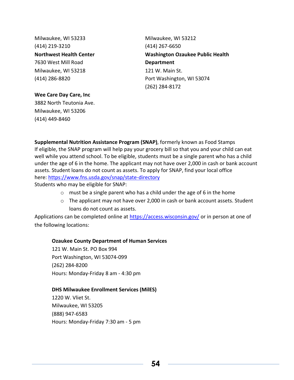Milwaukee, WI 53233 (414) 219-3210 **Northwest Health Center** 7630 West Mill Road Milwaukee, WI 53218 (414) 286-8820

Milwaukee, WI 53212 (414) 267-6650 **Washington Ozaukee Public Health Department** 121 W. Main St. Port Washington, WI 53074 (262) 284-8172

**Wee Care Day Care, Inc** 3882 North Teutonia Ave. Milwaukee, WI 53206 (414) 449-8460

**Supplemental Nutrition Assistance Program (SNAP)**, formerly known as Food Stamps If eligible, the SNAP program will help pay your grocery bill so that you and your child can eat well while you attend school. To be eligible, students must be a single parent who has a child under the age of 6 in the home. The applicant may not have over 2,000 in cash or bank account assets. Student loans do not count as assets. To apply for SNAP, find your local office here: <https://www.fns.usda.gov/snap/state-directory>

Students who may be eligible for SNAP:

- o must be a single parent who has a child under the age of 6 in the home
- $\circ$  The applicant may not have over 2,000 in cash or bank account assets. Student loans do not count as assets.

Applications can be completed online at<https://access.wisconsin.gov/> or in person at one of the following locations:

### **Ozaukee County Department of Human Services**

121 W. Main St. PO Box 994 Port Washington, WI 53074-099 (262) 284-8200 Hours: Monday-Friday 8 am - 4:30 pm

### **DHS Milwaukee Enrollment Services (MilES)**

1220 W. Vliet St. Milwaukee, WI 53205 (888) 947-6583 Hours: Monday-Friday 7:30 am - 5 pm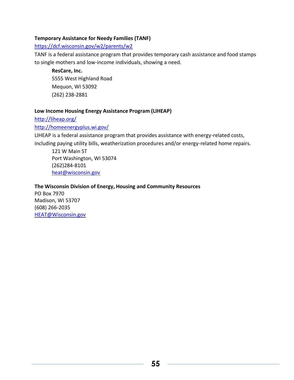### **Temporary Assistance for Needy Families (TANF)**

### <https://dcf.wisconsin.gov/w2/parents/w2>

TANF is a federal assistance program that provides temporary cash assistance and food stamps to single mothers and low-income individuals, showing a need.

**ResCare, Inc.** 5555 West Highland Road Mequon, WI 53092 (262) 238-2881

### **Low Income Housing Energy Assistance Program (LIHEAP)**

### <http://liheap.org/>

### <http://homeenergyplus.wi.gov/>

LIHEAP is a federal assistance program that provides assistance with energy-related costs, including paying utility bills, weatherization procedures and/or energy-related home repairs.

121 W Main ST Port Washington, WI 53074 (262)284-8101 [heat@wisconsin.gov](mailto:heat@wisconsin.gov)

### **The Wisconsin Division of Energy, Housing and Community Resources**

PO Box 7970 Madison, WI 53707 (608) 266-2035 [HEAT@Wisconsin.gov](mailto:HEAT@Wisconsin.gov)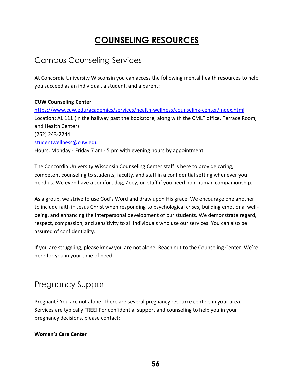# **COUNSELING RESOURCES**

# Campus Counseling Services

At Concordia University Wisconsin you can access the following mental health resources to help you succeed as an individual, a student, and a parent:

### **CUW Counseling Center**

<https://www.cuw.edu/academics/services/health-wellness/counseling-center/index.html> Location: AL 111 (in the hallway past the bookstore, along with the CMLT office, Terrace Room, and Health Center) (262) 243-2244 [studentwellness@cuw.edu](mailto:studentwellness@cuw.edu) Hours: Monday - Friday 7 am - 5 pm with evening hours by appointment

The Concordia University Wisconsin Counseling Center staff is here to provide caring, competent counseling to students, faculty, and staff in a confidential setting whenever you need us. We even have a comfort dog, Zoey, on staff if you need non-human companionship.

As a group, we strive to use God's Word and draw upon His grace. We encourage one another to include faith in Jesus Christ when responding to psychological crises, building emotional wellbeing, and enhancing the interpersonal development of our students. We demonstrate regard, respect, compassion, and sensitivity to all individuals who use our services. You can also be assured of confidentiality.

If you are struggling, please know you are not alone. Reach out to the Counseling Center. We're here for you in your time of need.

## Pregnancy Support

Pregnant? You are not alone. There are several pregnancy resource centers in your area. Services are typically FREE! For confidential support and counseling to help you in your pregnancy decisions, please contact:

### **Women's Care Center**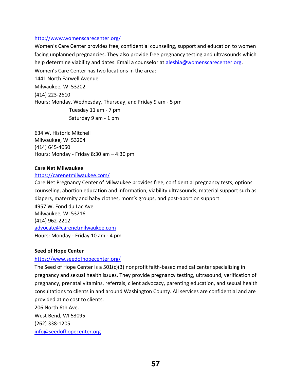### <http://www.womenscarecenter.org/>

Women's Care Center provides free, confidential counseling, support and education to women facing unplanned pregnancies. They also provide free pregnancy testing and ultrasounds which help determine viability and dates. Email a counselor at [aleshia@womenscarecenter.org.](mailto:aleshia@womenscarecenter.org) Women's Care Center has two locations in the area: 1441 North Farwell Avenue Milwaukee, WI 53202 (414) 223-2610 Hours: Monday, Wednesday, Thursday, and Friday 9 am - 5 pm Tuesday 11 am - 7 pm Saturday 9 am - 1 pm

634 W. Historic Mitchell Milwaukee, WI 53204 (414) 645-4050 Hours: Monday - Friday 8:30 am – 4:30 pm

### **Care Net Milwaukee**

### <https://carenetmilwaukee.com/>

Care Net Pregnancy Center of Milwaukee provides free, confidential pregnancy tests, options counseling, abortion education and information, viability ultrasounds, material support such as diapers, maternity and baby clothes, mom's groups, and post-abortion support. 4957 W. Fond du Lac Ave Milwaukee, WI 53216 (414) 962-2212 [advocate@carenetmilwaukee.com](mailto:advocate@carenetmilwaukee.com) Hours: Monday - Friday 10 am - 4 pm

### **Seed of Hope Center**

### <https://www.seedofhopecenter.org/>

The Seed of Hope Center is a 501(c)(3) nonprofit faith-based medical center specializing in pregnancy and sexual health issues. They provide pregnancy testing, ultrasound, verification of pregnancy, prenatal vitamins, referrals, client advocacy, parenting education, and sexual health consultations to clients in and around Washington County. All services are confidential and are provided at no cost to clients. 206 North 6th Ave. West Bend, WI 53095 (262) 338-1205

[info@seedofhopecenter.org](mailto:info@seedofhopecenter.org)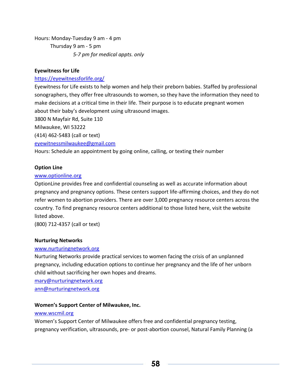Hours: Monday-Tuesday 9 am - 4 pm Thursday 9 am - 5 pm *5-7 pm for medical appts. only*

### **Eyewitness for Life**

### <https://eyewitnessforlife.org/>

Eyewitness for Life exists to help women and help their preborn babies. Staffed by professional sonographers, they offer free ultrasounds to women, so they have the information they need to make decisions at a critical time in their life. Their purpose is to educate pregnant women about their baby's development using ultrasound images.

3800 N Mayfair Rd, Suite 110

Milwaukee, WI 53222

([414\) 462-5483](tel:1-414-462-5483) (call or text)

[eyewitnessmilwaukee@gmail.com](mailto:eyewitnessmilwaukee@gmail.com)

Hours: Schedule an appointment by going online, calling, or texting their number

### **Option Line**

### [www.optionline.org](http://www.optionline.org/)

OptionLine provides free and confidential counseling as well as accurate information about pregnancy and pregnancy options. These centers support life-affirming choices, and they do not refer women to abortion providers. There are over 3,000 pregnancy resource centers across the country. To find pregnancy resource centers additional to those listed here, visit the website listed above.

(800) 712-4357 (call or text)

### **[Nurturing Networks](http://www.nurturingnetwork.org/)**

### [www.nurturingnetwork.org](http://www.nurturingnetwork.org/)

Nurturing Networks provide practical services to women facing the crisis of an unplanned pregnancy, including education options to continue her pregnancy and the life of her unborn child without sacrificing her own hopes and dreams.

[mary@nurturingnetwork.org](mailto:mary@nurturingnetwork.org)

[ann@nurturingnetwork.org](mailto:ann@nurturingnetwork.org)

### **Women's Support Center of Milwaukee, Inc.**

### [www.wscmil.org](http://www.wscmil.org/)

Women's Support Center of Milwaukee offers free and confidential pregnancy testing, pregnancy verification, ultrasounds, pre- or post-abortion counsel, Natural Family Planning (a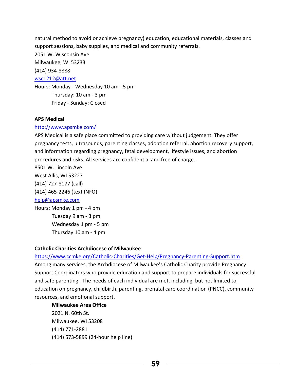natural method to avoid or achieve pregnancy) education, educational materials, classes and support sessions, baby supplies, and medical and community referrals. 2051 W. Wisconsin Ave Milwaukee, WI 53233 (414) 934-8888 [wsc1212@att.net](mailto:wsc1212@att.net) Hours: Monday - Wednesday 10 am - 5 pm Thursday: 10 am - 3 pm Friday - Sunday: Closed

#### **APS Medical**

#### <http://www.apsmke.com/>

APS Medical is a safe place committed to providing care without judgement. They offer pregnancy tests, ultrasounds, parenting classes, adoption referral, abortion recovery support, and information regarding pregnancy, fetal development, lifestyle issues, and abortion procedures and risks. All services are confidential and free of charge.

8501 W. Lincoln Ave West Allis, WI 53227 (414) 727-8177 (call)

(414) 465-2246 (text INFO)

#### [help@apsmke.com](mailto:help@apsmke.com)

Hours: Monday 1 pm - 4 pm Tuesday 9 am - 3 pm Wednesday 1 pm - 5 pm Thursday 10 am - 4 pm

#### **Catholic Charities Archdiocese of Milwaukee**

#### <https://www.ccmke.org/Catholic-Charities/Get-Help/Pregnancy-Parenting-Support.htm>

Among many services, the Archdiocese of Milwaukee's Catholic Charity provide Pregnancy Support Coordinators who provide education and support to prepare individuals for successful and safe parenting. The needs of each individual are met, including, but not limited to, education on pregnancy, childbirth, parenting, prenatal care coordination (PNCC), community resources, and emotional support.

### **Milwaukee Area Office**

2021 N. 60th St. Milwaukee, WI 53208 (414) 771-2881 [\(414\) 573-5899](tel:+1-414-573-5899) (24-hour help line)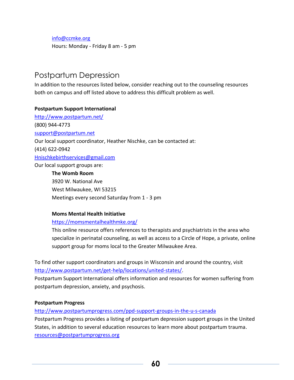[info@ccmke.org](mailto:info@ccmke.org)

Hours: Monday - Friday 8 am - 5 pm

### Postpartum Depression

In addition to the resources listed below, consider reaching out to the counseling resources both on campus and off listed above to address this difficult problem as well.

### **Postpartum Support International**

<http://www.postpartum.net/> (800) 944-4773 [support@postpartum.net](mailto:support@postpartum.net) Our local support coordinator, Heather Nischke, can be contacted at: (414) 622-0942 [Hnischkebirthservices@gmail.com](mailto:Hnischkebirthservices@gmail.com) Our local support groups are: **The Womb Room**

3920 W. National Ave West Milwaukee, WI 53215 Meetings every second Saturday from 1 - 3 pm

#### **Moms Mental Health Initiative**

### <https://momsmentalhealthmke.org/>

This online resource offers references to therapists and psychiatrists in the area who specialize in perinatal counseling, as well as access to a Circle of Hope, a private, online support group for moms local to the Greater Milwaukee Area.

To find other support coordinators and groups in Wisconsin and around the country, visit [http://www.postpartum.net/get-help/locations/united-states/.](http://www.postpartum.net/get-help/locations/united-states/)

Postpartum Support International offers information and resources for women suffering from postpartum depression, anxiety, and psychosis.

### **Postpartum Progress**

<http://www.postpartumprogress.com/ppd-support-groups-in-the-u-s-canada>

Postpartum Progress provides a listing of postpartum depression support groups in the United States, in addition to several education resources to learn more about postpartum trauma. [resources@postpartumprogress.org](mailto:resources@postpartumprogress.org)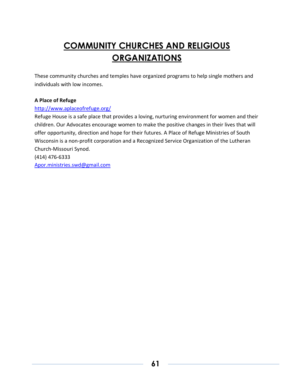# **COMMUNITY CHURCHES AND RELIGIOUS ORGANIZATIONS**

These community churches and temples have organized programs to help single mothers and individuals with low incomes.

### **A Place of Refuge**

### <http://www.aplaceofrefuge.org/>

Refuge House is a safe place that provides a loving, nurturing environment for women and their children. Our Advocates encourage women to make the positive changes in their lives that will offer opportunity, direction and hope for their futures. A Place of Refuge Ministries of South Wisconsin is a non-profit corporation and a Recognized Service Organization of the Lutheran Church-Missouri Synod. (414) 476-6333

[Apor.ministries.swd@gmail.com](mailto:Apor.ministries.swd@gmail.com)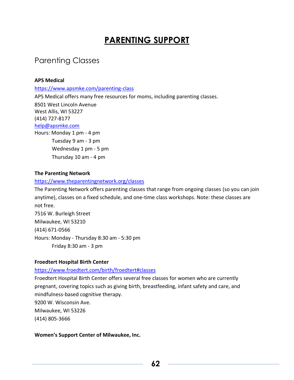# **PARENTING SUPPORT**

# Parenting Classes

### **APS Medical**

<https://www.apsmke.com/parenting-class>

APS Medical offers many free resources for moms, including parenting classes.

8501 West Lincoln Avenue West Allis, WI 53227 (414) 727-8177 [help@apsmke.com](mailto:help@apsmke.com) Hours: Monday 1 pm - 4 pm Tuesday 9 am - 3 pm Wednesday 1 pm - 5 pm

Thursday 10 am - 4 pm

### **The Parenting Network**

### <https://www.theparentingnetwork.org/classes>

The Parenting Network offers parenting classes that range from ongoing classes (so you can join anytime), classes on a fixed schedule, and one-time class workshops. Note: these classes are not free. 7516 W. Burleigh Street Milwaukee, WI 53210 (414) 671-0566 Hours: Monday - Thursday 8:30 am - 5:30 pm Friday 8:30 am - 3 pm

### **Froedtert Hospital Birth Center**

### <https://www.froedtert.com/birth/froedtert#classes>

Froedtert Hospital Birth Center offers several free classes for women who are currently pregnant, covering topics such as giving birth, breastfeeding, infant safety and care, and mindfulness-based cognitive therapy. 9200 W. Wisconsin Ave. Milwaukee, WI 53226 (414) 805-3666

**Women's Support Center of Milwaukee, Inc.**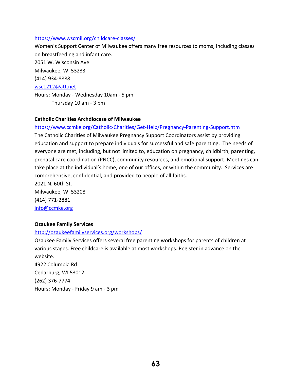### <https://www.wscmil.org/childcare-classes/>

Women's Support Center of Milwaukee offers many free resources to moms, including classes on breastfeeding and infant care.

2051 W. Wisconsin Ave

Milwaukee, WI 53233

(414) 934-8888

### [wsc1212@att.net](mailto:wsc1212@att.net)

Hours: Monday - Wednesday 10am - 5 pm

Thursday 10 am - 3 pm

### **Catholic Charities Archdiocese of Milwaukee**

### <https://www.ccmke.org/Catholic-Charities/Get-Help/Pregnancy-Parenting-Support.htm>

The Catholic Charities of Milwaukee Pregnancy Support Coordinators assist by providing education and support to prepare individuals for successful and safe parenting. The needs of everyone are met, including, but not limited to, education on pregnancy, childbirth, parenting, prenatal care coordination (PNCC), community resources, and emotional support. Meetings can take place at the individual's home, one of our offices, or within the community. Services are comprehensive, confidential, and provided to people of all faiths. 2021 N. 60th St.

Milwaukee, WI 53208 (414) 771-2881 [info@ccmke.org](mailto:info@ccmke.org)

### **Ozaukee Family Services**

### <http://ozaukeefamilyservices.org/workshops/>

Ozaukee Family Services offers several free parenting workshops for parents of children at various stages. Free childcare is available at most workshops. Register in advance on the website.

4922 Columbia Rd Cedarburg, WI 53012 (262) 376-7774 Hours: Monday - Friday 9 am - 3 pm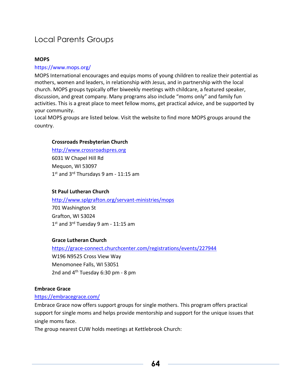# Local Parents Groups

### **MOPS**

### <https://www.mops.org/>

MOPS International encourages and equips moms of young children to realize their potential as mothers, women and leaders, in relationship with Jesus, and in partnership with the local church. MOPS groups typically offer biweekly meetings with childcare, a featured speaker, discussion, and great company. Many programs also include "moms only" and family fun activities. This is a great place to meet fellow moms, get practical advice, and be supported by your community.

Local MOPS groups are listed below. Visit the website to find more MOPS groups around the country.

### **[Crossroads Presbyterian Church](https://www.crossroadspres.org/connect/children/mops/)**

[http://www.crossroadspres.org](http://www.crossroadspres.org/) 6031 W Chapel Hill Rd Mequon, WI 53097 1<sup>st</sup> and 3<sup>rd</sup> Thursdays 9 am - 11:15 am

### **St Paul Lutheran Church**

<http://www.splgrafton.org/servant-ministries/mops> 701 Washington St Grafton, WI 53024 1st and 3<sup>rd</sup> Tuesday 9 am - 11:15 am

### **[Grace Lutheran Church](http://www.grace-connect.org/womens-ministry)**

<https://grace-connect.churchcenter.com/registrations/events/227944> W196 N9525 Cross View Way Menomonee Falls, WI 53051 2nd and  $4<sup>th</sup>$  Tuesday 6:30 pm - 8 pm

### **Embrace Grace**

### <https://embracegrace.com/>

Embrace Grace now offers support groups for single mothers. This program offers practical support for single moms and helps provide mentorship and support for the unique issues that single moms face.

The group nearest CUW holds meetings at Kettlebrook Church: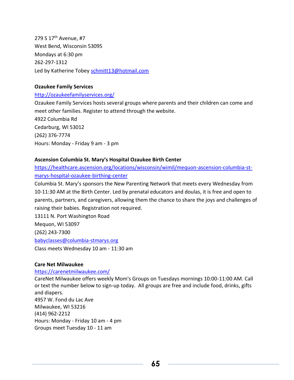279 S 17<sup>th</sup> Avenue, #7 West Bend, Wisconsin 53095 Mondays at 6:30 pm 262-297-1312 Led by Katherine Tobey [schmitt13@hotmail.com](mailto:schmitt13@hotmail.com)

### **Ozaukee Family Services**

### <http://ozaukeefamilyservices.org/>

Ozaukee Family Services hosts several groups where parents and their children can come and meet other families. Register to attend through the website. 4922 Columbia Rd Cedarburg, WI 53012 (262) 376-7774 Hours: Monday - Friday 9 am - 3 pm

### **Ascension Columbia St. Mary's Hospital Ozaukee Birth Center**

[https://healthcare.ascension.org/locations/wisconsin/wimil/mequon-ascension-columbia-st](https://healthcare.ascension.org/locations/wisconsin/wimil/mequon-ascension-columbia-st-marys-hospital-ozaukee-birthing-center)[marys-hospital-ozaukee-birthing-center](https://healthcare.ascension.org/locations/wisconsin/wimil/mequon-ascension-columbia-st-marys-hospital-ozaukee-birthing-center)

Columbia St. Mary's sponsors the New Parenting Network that meets every Wednesday from 10-11:30 AM at the Birth Center. Led by prenatal educators and doulas, it is free and open to parents, partners, and caregivers, allowing them the chance to share the joys and challenges of raising their babies. Registration not required.

13111 N. Port Washington Road

Mequon, WI 53097

(262) 243-7300

<babyclasses@columbia-stmarys.org>

Class meets Wednesday 10 am - 11:30 am

### **Care Net Milwaukee**

### <https://carenetmilwaukee.com/>

CareNet Milwaukee offers weekly Mom's Groups on Tuesdays mornings 10:00-11:00 AM. Call or text the number below to sign-up today. All groups are free and include food, drinks, gifts and diapers. 4957 W. Fond du Lac Ave Milwaukee, WI 53216 (414) 962-2212 Hours: Monday - Friday 10 am - 4 pm Groups meet Tuesday 10 - 11 am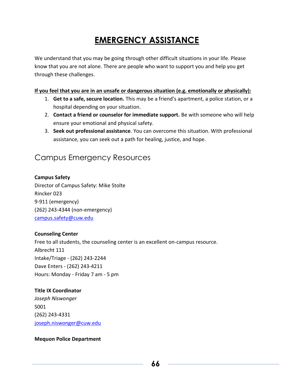# **EMERGENCY ASSISTANCE**

We understand that you may be going through other difficult situations in your life. Please know that you are not alone. There are people who want to support you and help you get through these challenges.

### **If you feel that you are in an unsafe or dangerous situation (e.g. emotionally or physically):**

- 1. **Get to a safe, secure location.** This may be a friend's apartment, a police station, or a hospital depending on your situation.
- 2. **Contact a friend or counselor for immediate support.** Be with someone who will help ensure your emotional and physical safety.
- 3. **Seek out professional assistance**. You can overcome this situation. With professional assistance, you can seek out a path for healing, justice, and hope.

## Campus Emergency Resources

### **Campus Safety**

Director of Campus Safety: Mike Stolte Rincker 023 9-911 (emergency) (262) 243-4344 (non-emergency) [campus.safety@cuw.edu](mailto:campus.safety@cuw.edu)

### **Counseling Center**

Free to all students, the counseling center is an excellent on-campus resource. Albrecht 111 Intake/Triage - (262) 243-2244 Dave Enters - (262) 243-4211 Hours: Monday - Friday 7 am - 5 pm

### **Title IX Coordinator**

*Joseph Niswonger* S001 (262) 243-4331 [joseph.niswonger@cuw.edu](mailto:joseph.niswonger@cuw.edu)

### **Mequon Police Department**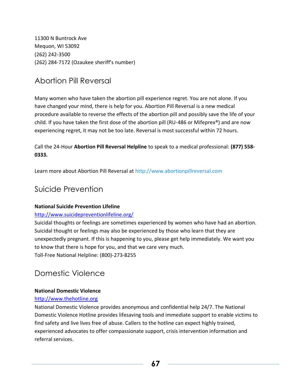11300 N Buntrock Ave Mequon, WI 53092 (262) 242-3500 (262) 284-7172 (Ozaukee sheriff's number)

# Abortion Pill Reversal

Many women who have taken the abortion pill experience regret. You are not alone. If you have changed your mind, there is help for you. Abortion Pill Reversal is a new medical procedure available to reverse the effects of the abortion pill and possibly save the life of your child. If you have taken the first dose of the abortion pill (RU-486 or Mifeprex®) and are now experiencing regret, it may not be too late. Reversal is most successful within 72 hours.

### Call the 24-Hour **Abortion Pill Reversal Helpline** to speak to a medical professional: **(877) 558- 0333.**

Learn more about Abortion Pill Reversal at http://www.abortionpillreversal.com

## Suicide Prevention

### **National Suicide Prevention Lifeline**

### <http://www.suicidepreventionlifeline.org/>

Suicidal thoughts or feelings are sometimes experienced by women who have had an abortion. Suicidal thought or feelings may also be experienced by those who learn that they are unexpectedly pregnant. If this is happening to you, please get help immediately. We want you to know that there is hope for you, and that we care very much. Toll-Free National Helpline: (800)-273-8255

# Domestic Violence

### **National Domestic Violence**

### [http://www.thehotline.org](http://www.thehotline.org/)

National Domestic Violence provides anonymous and confidential help 24/7. The National Domestic Violence Hotline provides lifesaving tools and immediate support to enable victims to find safety and live lives free of abuse. Callers to the hotline can expect highly trained, experienced advocates to offer compassionate support, crisis intervention information and referral services.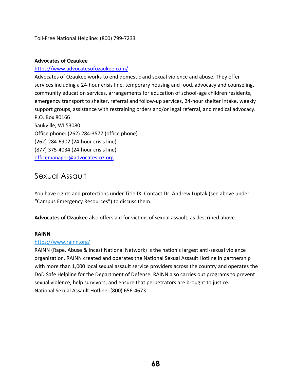Toll-Free National Helpline: (800) 799-7233

### **Advocates of Ozaukee**

### <https://www.advocatesofozaukee.com/>

Advocates of Ozaukee works to end domestic and sexual violence and abuse. They offer services including a 24-hour crisis line, temporary housing and food, advocacy and counseling, community education services, arrangements for education of school-age children residents, emergency transport to shelter, referral and follow-up services, 24-hour shelter intake, weekly support groups, assistance with restraining orders and/or legal referral, and medical advocacy. P.O. Box 80166 Saukville, WI 53080 Office phone: (262) 284-3577 (office phone) (262) 284-6902 (24-hour crisis line)

(877) 375-4034 (24-hour crisis line)

[officemanager@advocates-oz.org](mailto:officemanager@advocates-oz.org)

### Sexual Assault

You have rights and protections under Title IX. Contact Dr. Andrew Luptak (see above under "Campus Emergency Resources") to discuss them.

**Advocates of Ozaukee** also offers aid for victims of sexual assault, as described above.

### **RAINN**

### <https://www.rainn.org/>

RAINN (Rape, Abuse & Incest National Network) is the nation's largest anti-sexual violence organization. RAINN created and operates the National Sexual Assault Hotline in partnership with more than 1,000 local sexual assault service providers across the country and operates the DoD Safe Helpline for the Department of Defense. RAINN also carries out programs to prevent sexual violence, help survivors, and ensure that perpetrators are brought to justice. National Sexual Assault Hotline: (800) 656-4673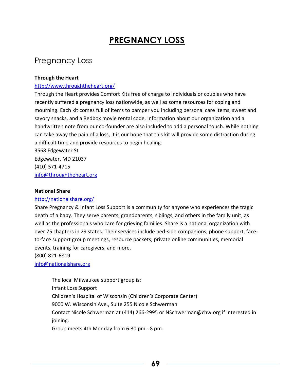# **PREGNANCY LOSS**

## Pregnancy Loss

### **Through the Heart**

### <http://www.throughtheheart.org/>

Through the Heart provides Comfort Kits free of charge to individuals or couples who have recently suffered a pregnancy loss nationwide, as well as some resources for coping and mourning. Each kit comes full of items to pamper you including personal care items, sweet and savory snacks, and a Redbox movie rental code. Information about our organization and a handwritten note from our co-founder are also included to add a personal touch. While nothing can take away the pain of a loss, it is our hope that this kit will provide some distraction during a difficult time and provide resources to begin healing.

3568 Edgewater St Edgewater, MD 21037 (410) 571-4715 [info@throughtheheart.org](mailto:info@throughtheheart.org)

#### **National Share**

### <http://nationalshare.org/>

Share Pregnancy & Infant Loss Support is a community for anyone who experiences the tragic death of a baby. They serve parents, grandparents, siblings, and others in the family unit, as well as the professionals who care for grieving families. Share is a national organization with over 75 chapters in 29 states. Their services include bed-side companions, phone support, faceto-face support group meetings, resource packets, private online communities, memorial events, training for caregivers, and more.

(800) 821-6819

[info@nationalshare.org](mailto:info@nationalshare.org)

The local Milwaukee support group is: Infant Loss Support Children's Hospital of Wisconsin (Children's Corporate Center) 9000 W. Wisconsin Ave., Suite 255 Nicole Schwerman Contact Nicole Schwerman at (414) 266-2995 or NSchwerman@chw.org if interested in joining. Group meets 4th Monday from 6:30 pm - 8 pm.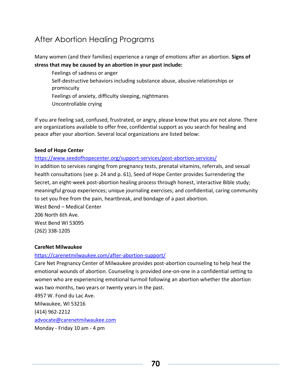# After Abortion Healing Programs

Many women (and their families) experience a range of emotions after an abortion. **Signs of stress that may be caused by an abortion in your past include:**

Feelings of sadness or anger Self-destructive behaviors including substance abuse, abusive relationships or promiscuity Feelings of anxiety, difficulty sleeping, nightmares Uncontrollable crying

If you are feeling sad, confused, frustrated, or angry, please know that you are not alone. There are organizations available to offer free, confidential support as you search for healing and peace after your abortion. Several local organizations are listed below:

### **Seed of Hope Center**

<https://www.seedofhopecenter.org/support-services/post-abortion-services/>

In addition to services ranging from pregnancy tests, prenatal vitamins, referrals, and sexual health consultations (see p. 24 and p. 61), Seed of Hope Center provides Surrendering the Secret, an eight-week post-abortion healing process through honest, interactive Bible study; meaningful group experiences; unique journaling exercises; and confidential, caring community to set you free from the pain, heartbreak, and bondage of a past abortion.

West Bend – Medical Center 206 North 6th Ave. West Bend WI 53095 (262) 338-1205

### **CareNet Milwaukee**

### <https://carenetmilwaukee.com/after-abortion-support/>

Care Net Pregnancy Center of Milwaukee provides post-abortion counseling to help heal the emotional wounds of abortion. Counseling is provided one-on-one in a confidential setting to women who are experiencing emotional turmoil following an abortion whether the abortion was two months, two years or twenty years in the past.

4957 W. Fond du Lac Ave. Milwaukee, WI 53216 (414) 962-2212 [advocate@carenetmilwaukee.com](mailto:advocate@carenetmilwaukee.com)

Monday - Friday 10 am - 4 pm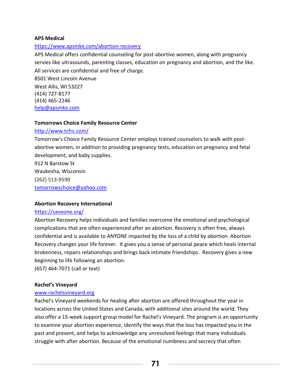### **APS Medical**

### <https://www.apsmke.com/abortion-recovery>

APS Medical offers confidential counseling for post-abortive women, along with pregnancy servies like ultrasounds, parenting classes, education on pregnancy and abortion, and the like. All services are confidential and free of charge.

8501 West Lincoln Avenue West Allis, WI 53227 (414) 727-8177 (414) 465-2246 [help@apsmke.com](mailto:help@apsmke.com)

### **Tomorrows Choice Family Resource Center**

#### <http://www.tcfrc.com/>

Tomorrow's Choice Family Resource Center employs trained counselors to walk with postabortive women, in addition to providing pregnancy tests, education on pregnancy and fetal development, and baby supplies.

912 N Barstow St Waukesha, Wisconsin (262) 513-9590 tomorrowschoice@yahoo.com

### **Abortion Recovery International**

### <https://saveone.org/>

Abortion Recovery helps individuals and families overcome the emotional and psychological complications that are often experienced after an abortion. Recovery is often free, always confidential and is available to ANYONE impacted by the loss of a child by abortion. Abortion Recovery changes your life forever. It gives you a sense of personal peace which heals internal brokenness, repairs relationships and brings back intimate friendships. Recovery gives a new beginning to life following an abortion.

(657) 464-7071 (call or text)

### **Rachel's Vineyard**

### [www.rachelsvineyard.org](http://www.rachelsvineyard.org/)

Rachel's Vineyard weekends for healing after abortion are offered throughout the year in locations across the United States and Canada, with additional sites around the world. They also offer a 15-week support group model for Rachel's Vineyard. The program is an opportunity to examine your abortion experience, identify the ways that the loss has impacted you in the past and present, and helps to acknowledge any unresolved feelings that many individuals struggle with after abortion. Because of the emotional numbness and secrecy that often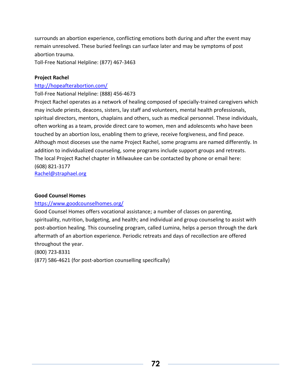surrounds an abortion experience, conflicting emotions both during and after the event may remain unresolved. These buried feelings can surface later and may be symptoms of post abortion trauma.

Toll-Free National Helpline: (877) 467-3463

### **Project Rachel**

### <http://hopeafterabortion.com/>

### Toll-Free National Helpline: (888) 456-4673

Project Rachel operates as a network of healing composed of specially-trained caregivers which may include priests, deacons, sisters, lay staff and volunteers, mental health professionals, spiritual directors, mentors, chaplains and others, such as medical personnel. These individuals, often working as a team, provide direct care to women, men and adolescents who have been touched by an abortion loss, enabling them to grieve, receive forgiveness, and find peace. Although most dioceses use the name Project Rachel, some programs are named differently. In addition to individualized counseling, some programs include support groups and retreats. The local Project Rachel chapter in Milwaukee can be contacted by phone or email here: (608) 821-3177

[Rachel@straphael.org](mailto:Rachel@straphael.org)

### **Good Counsel Homes**

### <https://www.goodcounselhomes.org/>

Good Counsel Homes offers vocational assistance; a number of classes on parenting, spirituality, nutrition, budgeting, and health; and individual and group counseling to assist with post-abortion healing. This counseling program, called Lumina, helps a person through the dark aftermath of an abortion experience. Periodic retreats and days of recollection are offered throughout the year.

(800) 723-8331

(877) 586-4621 (for post-abortion counselling specifically)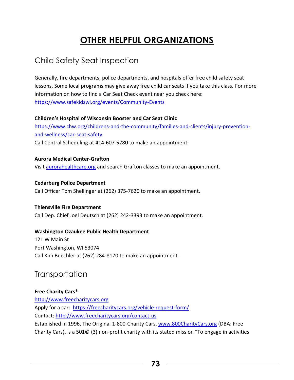# **OTHER HELPFUL ORGANIZATIONS**

## Child Safety Seat Inspection

Generally, fire departments, police departments, and hospitals offer free child safety seat lessons. Some local programs may give away free child car seats if you take this class. For more information on how to find a Car Seat Check event near you check here: <https://www.safekidswi.org/events/Community-Events>

#### **Children's Hospital of Wisconsin Booster and Car Seat Clinic**

[https://www.chw.org/childrens-and-the-community/families-and-clients/injury-prevention](https://www.chw.org/childrens-and-the-community/families-and-clients/injury-prevention-and-wellness/car-seat-safety)[and-wellness/car-seat-safety](https://www.chw.org/childrens-and-the-community/families-and-clients/injury-prevention-and-wellness/car-seat-safety) Call Central Scheduling at 414-607-5280 to make an appointment.

### **Aurora Medical Center-Grafton**

Visit aurorahealthcare.org and search Grafton classes to make an appointment.

### **Cedarburg Police Department**

Call Officer Tom Shellinger at (262) 375-7620 to make an appointment.

### **Thiensville Fire Department**

Call Dep. Chief Joel Deutsch at (262) 242-3393 to make an appointment.

### **Washington Ozaukee Public Health Department**

121 W Main St Port Washington, WI 53074 Call Kim Buechler at (262) 284-8170 to make an appointment.

### **Transportation**

### **Free Charity Cars\***

[http://www.freecharitycars.org](http://www.freecharitycars.org/) Apply for a car: <https://freecharitycars.org/vehicle-request-form/> Contact: <http://www.freecharitycars.org/contact-us> Established in 1996, The Original 1-800-Charity Cars, [www.800CharityCars.org](http://www.800charitycars.org/) (DBA: Free Charity Cars), is a 501© (3) non-profit charity with its stated mission "To engage in activities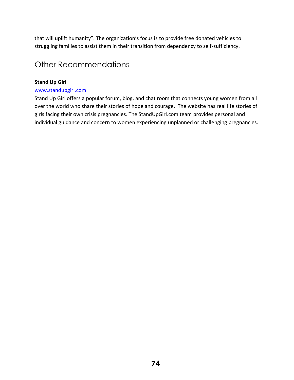that will uplift humanity". The organization's focus is to provide free donated vehicles to struggling families to assist them in their transition from dependency to self-sufficiency.

### Other Recommendations

### **Stand Up Girl**

#### www.standupgirl.com

Stand Up Girl offers a popular forum, blog, and chat room that connects young women from all over the world who share their stories of hope and courage. The website has real life stories of girls facing their own crisis pregnancies. The StandUpGirl.com team provides personal and individual guidance and concern to women experiencing unplanned or challenging pregnancies.